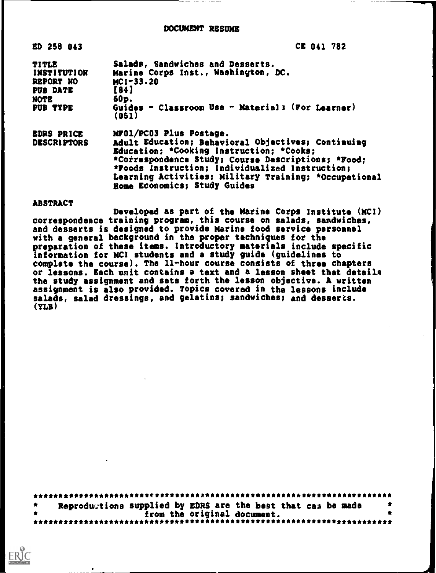#### DOCUMENT RESUME

| ED 258 043                                                                      | CE 041 782                                                                                                                                                                                                                                                                                                                  |  |
|---------------------------------------------------------------------------------|-----------------------------------------------------------------------------------------------------------------------------------------------------------------------------------------------------------------------------------------------------------------------------------------------------------------------------|--|
| TITLE<br><b>INSTITUTION</b><br><b>REPORT NO</b><br>PUB DATE<br>NOTE<br>PUB TYPE | Salads, Sandwiches and Desserts.<br>Marine Corps Inst., Washington, DC.<br>$MC1 - 33.20$<br>[84]<br>$60p$ .<br>Guides - Classroom Use - Material; (For Learner)<br>(051)                                                                                                                                                    |  |
| <b>EDRS PRICE</b><br><b>DESCRIPTORS</b>                                         | MF01/PC03 Plus Postage.<br>Adult Education; Behavioral Objectives; Continuing<br>Education: *Cooking Instruction; *Cooks;<br>*Correspondence Study; Course Descriptions; *Food;<br>*Foods Instruction; Individualized Instruction;<br>Learning Activities; Military Training; *Occupational<br>Home Economics; Study Guides |  |

#### ABSTRACT

**ERIC** 

Developed as part of the Marine Corps Institute (MCI) correspondence training program, this course on salads, sandwiches, and desserts is designed to provide Marine food service personnel with a general background in the proper techniques for the preparation of these items. Introductory materials include specific information for MCI students and a study guide (guidelines to complete the course). The 11-hour course consists of three chapters or lessons. Each unit contains a text and a lesson sheet that details the study assignment and sets forth the lesson objective. A written assignment is also provided. Topics covered in the lessons include salads, salad dressings, and gelatins; sandwiches; and desserts. (YLB)

| Reproductions supplied by EDRS are the best that can be made |  |
|--------------------------------------------------------------|--|
| from the original document.                                  |  |
|                                                              |  |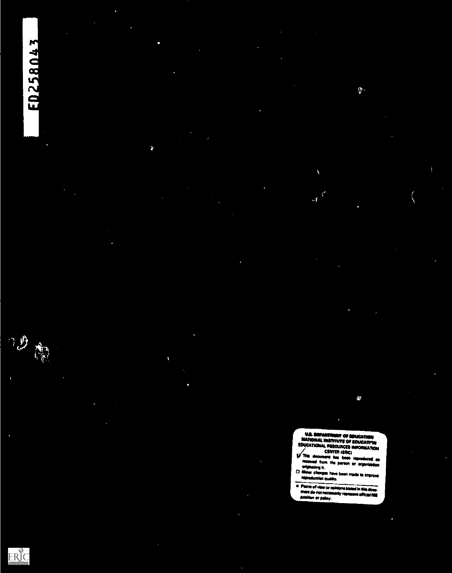# ED258043

×

ž.

Ñ

 $\bullet$ 

**STAR** 

 $\hat{\mathfrak{h}}$ .

**V.B. DEPARTMENT OF EDUCATION<br>
NATIONAL IREFUTUTE OF EDUCATION<br>
EDUCATIONAL RESOLITICES INFORMATION<br>
CENTER (ERIC)<br>
This document has been reproduced as<br>
received from the person or organization<br>
originating it.<br>
D. Miner** 

ERIC

 $\bigcap\limits_{\alpha\in\mathbb{Z}}\bigoplus\limits_{\alpha\in\mathbb{Z}}$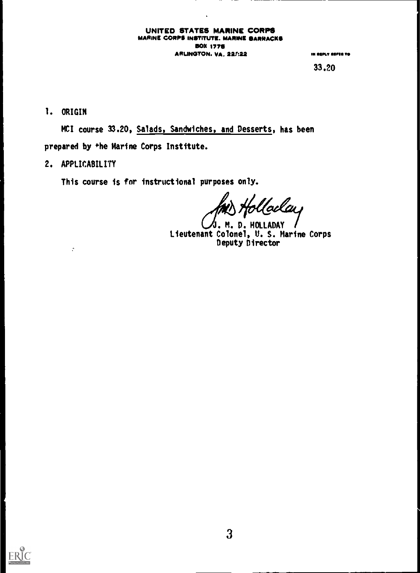#### UNITED STATES MARINE CORPS MARINE CORPS INSTITUTE. MARINE BARRACKS BOX 1770 ARLINGTON. VA. 227:22 OM OM OM OUT AREAS TO

 $\ddot{\phantom{1}}$ 

33.20

I. ORIGIN

MCI course 33.20, Salads, Sandwiches, and Desserts, has been prepared by the Marine Corps Institute.

### 2. APPLICABILITY

 $\ddot{\cdot}$ 

This course is for instructional purposes only.

'alay

M. D. HOLLADAY Lieutenant Colonel, U. S. Marine Corps Deputy Director

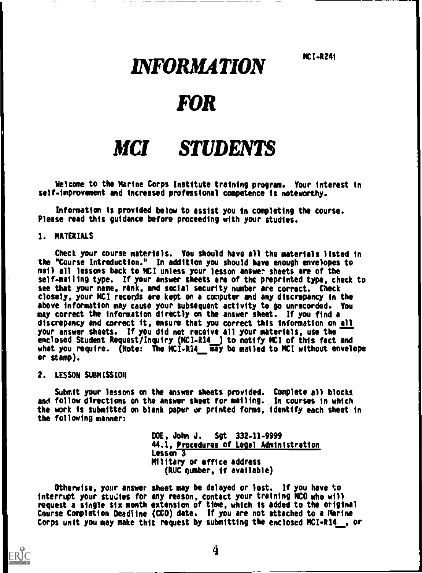MCI.R241

# INFORMATION

# FOR

# MCI STUDENTS

Welcome to the Marine Corps Institute training program. Your interest in self.improvement and increased professional competence is noteworthy.

Information is provided below to assist you in completing the course. Please read this guidance before proceeding with your studies.

#### 1. MATERIALS

Check your course materials. You should have all the materials listed in the "Course Introduction.\* In addition you should have enough envelopes to mail all lessons back to MCI unless your lesson answer sheets are of the self-mailing type. If your answer sheets are of the preprinted type, check to see that your name, rank, and social security number are correct. Check closely, your MCI records are kept on a computer and any discrepancy in the above information may cause your subsequent activity to go unrecorded. You may correct the information directly on the answer sheet. If you find a discrepancy and correct it, ensure that you correct this information on all your answer sheets. If you did not receive all your materials, use the enclosed Student Request/Inquiry (MCIR14 ) to notify MCI of this fact and what you require. (Note: The MCI-R14\_\_ may be mailed to MCI without envelope or stamp).

#### 2. LESSON SUBMISSION

ERIC

Submit your lessons on the answer sheets provided. Complete all blocks and follow directions on the answer sheet for mailing. In courses in which the work is submitted on blank paper or printed forms, identify each sheet in the following manner:

> DOE, John J. Sgt 332.11.9999 44.1, Procedures of Legal Administration Lesson 3 Military or office address (RUC number, if available)

Otherwise, your answer sheet may be delayed or lost. If you have to interrupt your studies for any reason, contact your training NCO who will request a single six month extension of time, which is added to the original Course Completion Deadline (CCD) date. If you are not attached to a Marine Corps unit you may make this request by submitting the enclosed MCI-R14 , or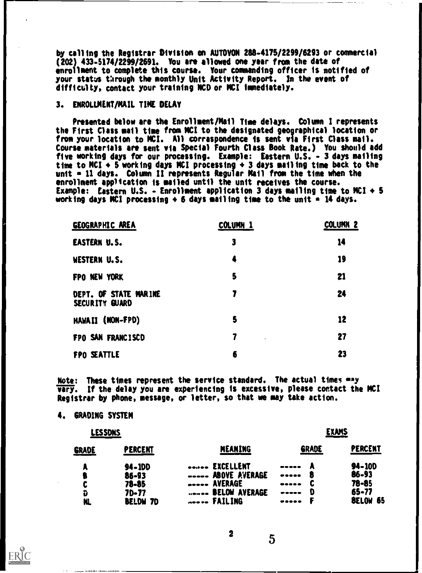by calling the Registrar Division on AUTOVON 286-4176/2299/6293 or commercial (202) 433-5174/2299/2691. You are allowed one year from the date of enrollment to complete this course. Your commanding officer is notified of your status through the monthly Unit Activity Report. In the event of difficulty, contact your training NCO or MCI immediately.

#### 3. ENROLLMENT/MAIL TIME DELAY

Presented below are the Enrollment/Mail Time delays. Column I represents the First Class mail time from MCI to the designated geographical location or from your location to MCI. All correspondence is sent via First Class mail. Course materials are sent via Special Fourth Class Book Rate.) You should add five working days for our processing. Example: Eastern U.S. - 3 days mailing time to MCI  $\div$  5 working days MCI processing  $\div$  3 days mailing time back to the unit  $\epsilon$  11 days. Column II represents Regular Mail from the time when the enrollment application is mailed until the unit receives the course. Example: Eastern U.S. - Enrollment application 3 days mailing time to MCI  $+$  5 working days NCI processing  $+6$  days mailing time to the unit  $-14$  days.

| <b>GEOGRAPHIC AREA</b>                  | COLUMN <sub>1</sub> | <b>COLUMN 2</b> |
|-----------------------------------------|---------------------|-----------------|
| <b>EASTERN U.S.</b>                     | 3                   | 14              |
| <b>WESTERN U.S.</b>                     | 4                   | 19              |
| FPO NEW YORK                            | 5                   | 21              |
| DEPT. OF STATE MARINE<br>SECURITY GUARD | 7                   | 24              |
| HAWAII (NON-FPD)                        | 5                   | 12              |
| FPO SAN FRANCISCD                       | 7                   | 27              |
| FPO SEATTLE                             | 6                   | 23              |

Note: These times represent the service standard. The actual times may vary. If the delay you are experiencing is excessive, please contact the MCI Registrar by phone, message, or letter, so that we may take action.

#### 4. GRADING SYSTEM

| LESSDNS      |                    |                                                                 | EXAMS      |                     |  |  |  |
|--------------|--------------------|-----------------------------------------------------------------|------------|---------------------|--|--|--|
| <b>GRADE</b> | PERCENT            | MEANING                                                         | GRADE      | PERCENT             |  |  |  |
| п.           | <b>94-100</b>      | <b>EXCELLENT</b>                                                | -----      | 94-100              |  |  |  |
| ₿            | $86 - 93$          | <b>ABOVE AVERAGE</b>                                            | В<br>----- | 86-93               |  |  |  |
| C            | 78-85              | <b>AVERAGE</b>                                                  |            | $78 - 85$           |  |  |  |
| Ù            | 70-77              | <b>BELOW AVERAGE</b><br>$\leftrightarrow$ and $\leftrightarrow$ | D          | $65 - 77$           |  |  |  |
| NL           | <b>BELDW</b><br>70 | <b>FAILING</b><br>$m = m$                                       | -----      | <b>BELOW</b><br>-65 |  |  |  |

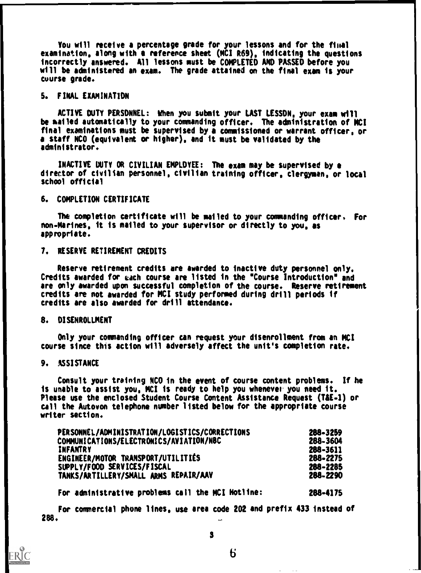You will receive a percentage grade for your lessons and for the final examination, along with e reference sheet (MCI R69), indicating the questions incorrectly answered. All lessons must be COMPLETED AND PASSED before you will be administered an exam. The grade attained on the final exam is your course grade.

#### 5. FINAL EXAMINATION

ACTIVE DUTY PERSONNEL: When you submit your LAST LESSON, your exam will be mailed automatically to your commanding officer. The administration of MCI final examinations must be supervised by a commissioned or warrant officer, or a staff NCO (equivalent or higher), and it must be validated by the administrator.

INACTIVE DUTY OR CIVILIAN EMPLOYEE: The exam may be supervised by director of civilian personnel, civilian training officer, clergyman, or local school official

#### 6. COMPLETION CERTIFICATE

The completion certificate will be mailed to your commanding officer. For non-Marines, it is mailed to your supervisor or directly to you, as appropriate.

#### 7. RESERVE RETIREMENT CREDITS

Reserve retirement credits are awarded to inactive duty personnel only. Credits awarded for each course are listed in the \*Course Introduction" and are only awarded upon successful completion of the course. Reserve retirement credits are not awarded for MCI study performed during drill periods if credits are also awarded for drill attendance.

#### 8. DISENROLLMENT

Only your commanding officer can request your disenrollment from an MCI course since this action will adversely affect the unit's completion rate.

#### 9. ASSISTANCE

ERĬC

Consult your training NCO in the event of course content problems. If he is unable to assist you, MCI is ready to help you whenever you need it. Please use the enclosed Student Course Content Assistance Request (T&E-1) or call the Autovon telephone number listed below for the appropriate course writer section.

| PERSONNEL/ADMINISTRATION/LOGISTICS/CORRECTIONS | 288-3259 |
|------------------------------------------------|----------|
| COMMUNICATIONS/ELECTRONICS/AVIATION/NBC        | 288-3604 |
| INFANTRY                                       | 288-3611 |
| ENGINEER/MOTOR TRANSPORT/UTILITIES             | 288-2275 |
| SUPPLY/FOOD SERVICES/FISCAL                    | 288-2285 |
| TANKS/ARTILLERY/SMALL ARMS REPAIR/AAV          | 288-2290 |

For administrative problems call the MCI Hotline: 288-4175

286. For commercial phone lines, use area code 202 and prefix 433 instead of w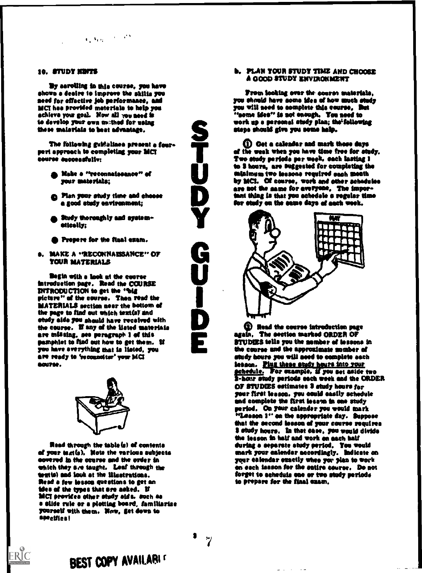## $\langle \alpha_1, \alpha_2 \rangle$  ,  $\langle \alpha_1, \alpha_2 \rangle$

By serolling in this course, you have shows a dealre to improve the shills you seed for effective job performance, and<br>MCI has provided materials to help you achieve your goal. Now all you need is to develop year owe owthod for using these materials to best advantage.

The following guidalines present a fourpart approach to completing year MCI seers\* suceesduliv:

- Yoke a "reeremaiesame°° of year materials;
- **Co.** Plan your study time and choose a good study environment:
- , Study thoroughly and system-<br>- atically;
- Prepare for the fiaal atom.
- **a. MAKE A "RECONNAISSANCE" OF** YOUR MATERIALS

Begin with a look at the course intreduction page. Read the COURSE<br>INTRODUCTION to get the "big picture" of the course. Thea read the IlAYSIIIALS sectisa mar the bottom of the page to find out which textis) and study aids you should have received with the course. U any of the listed materials are thlselag. see paragraph 1 of this pamphlet to tied out how to get them. If you have everything that is listed, you are ready to 'reconnoiter' your MCI 00UT02.



Read through the table(s) of contents of your text(s). Note the various subjects covered in the course and the order in which they see taught. Lest through the textial and look at the illustrations. Read a few leason questions to get an idea of the types that are asked. If<br>MCI providea other study aids. such as a slide rule or a plotting board. familiarise yourself with them. Now, get down to sescific s I

BEST COPY AVAILARI

ERIC

## 10. STUDY NEWS SALE IS A REPORT OF THE AND CHOOSE AND CHOOSE A GOOD STUDY TIME AND CHOOSE

Prom looking over the course materials,<br>you should have some idea of how much study you will need to complete this course, But<br>"come ides" is not enough. You need to work up a peened study plea; thetfollowing steps should give you some help.

STREET TO STATE THE PERSON IS TO BE A heart of the seated for you never there are days<br>of the week when you have time free for study,<br>Two study periods per week, each lasting 1<br>to 3 hours, are suggested for completing the minimum two leasons required each month<br>by MCI. Of course, work and other achedules<br>are not the same for averyone, The imporere not the name for averyone, The impor-<br>that thing is that you schedule a regular time<br>for study on the same days of each week. el Oct Weals, sod mark these days of the week whoa yes have time free for study. Two study periode per week, sach tasting 1 minimum two leasons required sach month<br>by MCI. Of course, work and other schedules<br>are not the same for everyone, The impor-<br>tant thing is that you schedele a regular time for study on the same days of each week.



**(2)** Read the course introduction page EXTERNAL AND DECIDE DETAILS UNLESS TO STUDIES tells you the samber of lessons in<br>the course and the approximate somber of<br>study hours you will need to complete aach agaIn. The section marked ORDEN OF the course and the approximate somber of study hours you will seed to complete each lesson. Plug these study hours into your schedule. For example, if you set aside two  $\frac{1}{2}$ -hour study periods each week and the ORDER<br>OF STUDIES estimates S study hours for your first lessee. yea maid easily schedule and complete the first lesson in one study period. On your calender you would mark "lama 1' sa the appropriate day. Suppose that the second lesson of your course requires study hours. la that ease, you weld divide the lesson in half and work on each half during a separate atudy period. You would<br>mark your calendar accordingly. Indicate on your calendar exactly whoa yer plan to work en each issson for the entire course. Do not forget to schedule one or two study periods.<br>to prepare for the final cuam.

**3** թ.յ ա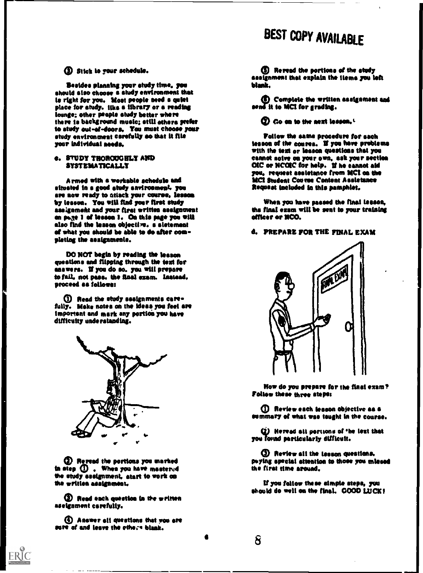# BEST COPY AVAILABLE

#### O Stick to your schedule.

Besides planning your study time, you<br>should size choose a study environment that is right for you. Most prople need a quist place for study. Most prople heed a quist lounge; other people study better where there is background music; still others prefer<br>to study out-of-doors. You must choose your etudy environment carefully so that it file year Individual seed&

#### **e. STUDY THOROUGHLY AND SYSTEMATICALLY**

Armed with a workable schedule and situated Is a good study saviroameat. you are now ready to attack your course, lessen by leason. You will find your first study<br>assignment and your first written assignment an poste I af lessen I. On this page you will also find the lesson objective. a sletement et what you should be able to do after com pleting the assignmente.

00 NOT begin by reading the lesson questions end Gipping through the test for answers. It you do so. you wilt prepare to fail. not pus. the final exam. Instead. proceed as follows:

O Road the study assignments eare fully. Make notes on the ideas you feel are important and mark any portion you have difficulty understanding.



O Reread the portions you marked to step  $\mathbf D$  . When you have mastered the study assignment, start to work on the written assignmeat.

**EX Read each question in the written** assignment carefully.

ID Answer all questions that you are sure of and leave the ethose blank.

ERIC

0 Reread the pestles@ of the study assignment that explain the Hems you left blank.

unfiComplete the written assignment sad send it to MCI for grading.

 $20$  Go on to the next lesson,  $1$ 

Follow the same procedure for each tesson of the course. If you have problems<br>with the text or lesson questions that you cannot solve on your own, ask your section OIC or NCOIC for help. If he cannot aid SIM request assistance from MCI on the MCI Student Couvre Content Assistance Request included in this pamphlet.

When you have passed the final lesson, the final exam wilt be sent to your training officer or NCO.

#### d. PREPARE FOR THE FINAL EXAM



How do you prepare for the final exam? Follow these three steps:

Q Review each lesson objective as a summary et what was taught In the course.

(2) Heread all portions of the lext that you found particularly difficult.

® Review all the lesson questions. puying apecial attention to those you missed the first time arouad.

It you follow these simple steps. you should do well on the final. GOOD LUCK!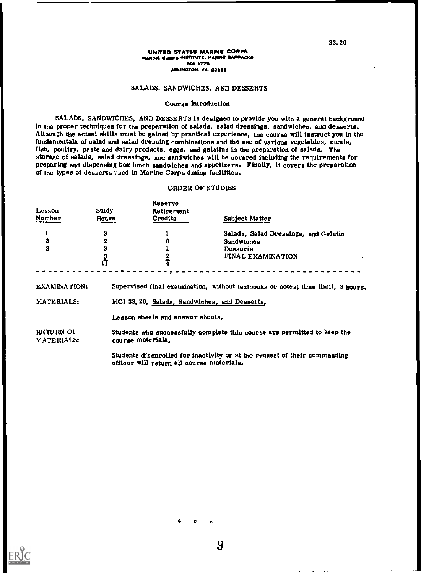#### UNITED STATES MARINE CORPS MARINE CORPS INSTITUTE. MARINE BARRACKS **BOX 1775** ARLINGTON, VA. 22222

#### SALADS. SANDWICHES, AND DESSERTS

#### Course Introduction

SALADS, SANDWICHES, AND DESSERTS is designed to provide you with a general background in the proper techniques for the preparation of salads, salad dressings, sandwiches, and desserts. Although the actual skills must be gained by practical experience, the course will instruct you in the fundamentals of salad and salad dressing combinations and the use of various vegetables, meats, fish, poultry, paste and dairy products, eggs, and gelatins in the preparation of salads, The storage of salads, salad dressings, and sandwiches will be covered including the requirements for preparing and dispensing box lunch sandwiches and appetizers. Finally, It covers the preparation of the types of desserts used in Marine Corps dining facilities.

#### ORDER OF STUDIES

| Lesson<br>Number           | Study<br><u>Hours</u>         | Reserve<br>Retirement<br>Credits              | <b>Subject Matter</b>                                                                      |
|----------------------------|-------------------------------|-----------------------------------------------|--------------------------------------------------------------------------------------------|
| $\overline{2}$<br>3        | 3<br>2<br>3<br>$\frac{3}{11}$ | 0                                             | Salads, Salad Dressings, and Gelatin<br>Sandwiches<br>Desserts<br><b>FINAL EXAMINATION</b> |
| EXAMINATION:<br>MATERIALS: |                               | MCI 33, 20, Salads, Sandwiches, and Desserts, | Supervised final examination, without textbooks or notes; time limit, 3 hours.             |
| RETURN OF                  |                               | Lesson sheets and answer sheets.              | Students who successfully complete this course are permitted to keep the                   |

MATERIALS: course materials,

Students dfsenrolled for inactivity or at the request of their commanding officer will return all course materials.

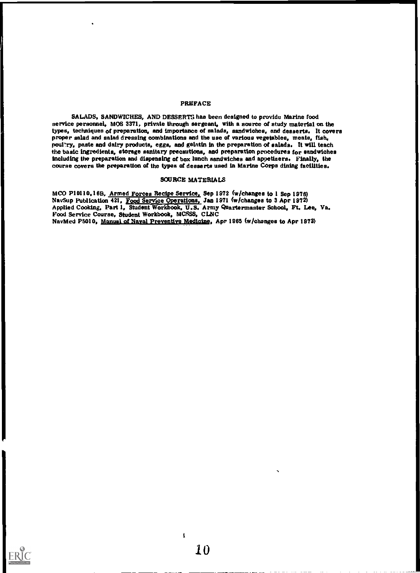#### PREFACE

SALADS, SANDWICHES, AND DESSERTS has been designed to provide Marine food service personnel, MOS 3371, private through sergeant, with a source of study material on the types, techniques of preparation, and importance of salads, sandwiches, and desserts. It covers proper salad and salad dressing combinations and the use of various vegetables, meats, fish, poul'ry, paste and dairy products, eggs, and gelatin in the preparation of salads. It will teach the basic ingredients, storage sanitary precautions, and preparation procedures for sandwiches including the preparation and dispensing of box lunch sandwiches and appetisers. Finally, the course covers the preparation of the types of desserts used in Marine Corps dining facilities.

#### SOURCE MATERIALS

MCO P10110,16B, Armed Forces Recipe Service, Sep 1972 (w/changes to 1 Sep 1976) Nav Sup Publication 421, Food Service Operations, Jan 1971 (w/changes to 3 Apr 1972) Applied Cooking, Part 1, Student Workbook, U.S. Army Quartermaster School, Ft, Lee, Va, Food Service Course, Student Workbook, MCSSS, CLNC NavMed P5010, Manual of Naval Preventive Medicine, Apr 1965 (w/changes to Apr 1973)

 $\pmb{1}$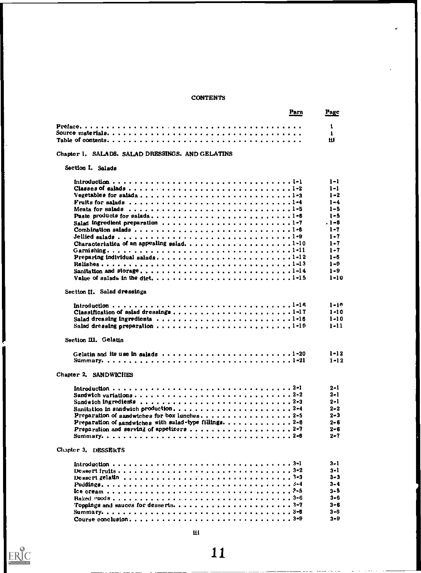#### **CONTENTS**

|                                                                                                  | Para | Page     |
|--------------------------------------------------------------------------------------------------|------|----------|
|                                                                                                  |      | 1        |
|                                                                                                  |      | ł.       |
|                                                                                                  |      | 111      |
| Chapter 1. SALADS. SALAD DRESSINGS. AND GELATINS                                                 |      |          |
| Section I. Salada                                                                                |      |          |
|                                                                                                  |      | $1 - 1$  |
|                                                                                                  |      | $1 - 1$  |
|                                                                                                  |      | $1 - 2$  |
| Fruits for salads $\ldots \ldots \ldots \ldots \ldots$                                           |      | $1 - 4$  |
|                                                                                                  |      | $1 - 5$  |
|                                                                                                  |      | $1 - 5$  |
| Salad ingredient preparation 1-7                                                                 |      | $.1 - 6$ |
|                                                                                                  |      | $1 - 7$  |
|                                                                                                  |      | $1 - 7$  |
| Characteriatica of an appealing salad. $\ldots \ldots \ldots \ldots \ldots \ldots \ldots \ldots$ |      | $1 - 7$  |
|                                                                                                  |      | $1 - 7$  |
| Preparing individual salads1-12                                                                  |      | $1 - 6$  |
|                                                                                                  |      | $1 - 9$  |
|                                                                                                  |      | $1 - 9$  |
|                                                                                                  |      | $1 - 10$ |
|                                                                                                  |      |          |
| Section II. Salad dressinga                                                                      |      |          |
|                                                                                                  |      | $1 - 10$ |
|                                                                                                  |      | $1 - 10$ |
| Salad dreasing ingredienta 1-16                                                                  |      | $1 - 10$ |
|                                                                                                  |      | $1 - 11$ |
| Section III. Gelatin                                                                             |      |          |
| Gelatin and its use in salads $\dots \dots \dots \dots \dots \dots \dots \dots \dots \dots 1-20$ |      | $1 - 12$ |
|                                                                                                  |      | $1 - 12$ |
|                                                                                                  |      |          |
| Chapter 2. SANDWICHES                                                                            |      |          |
|                                                                                                  |      | 2-1      |
|                                                                                                  |      | 2–1      |
|                                                                                                  |      | $2 - 1$  |
| Sanitation in sandwich production2-4                                                             |      | $2 - 2$  |
|                                                                                                  |      | $2 - 3$  |
| Preparation of aandwiches with salad-type fillings. 2-6                                          |      | $2 - 6$  |
|                                                                                                  |      | $2 - 6$  |
|                                                                                                  |      | $2 - 7$  |
| Chapter 3. DESSERTS                                                                              |      |          |
|                                                                                                  |      | 3-1      |
|                                                                                                  |      | $3 - 1$  |
| Dessert gelatin $\ldots \ldots \ldots \ldots \ldots \ldots \ldots \ldots \ldots \ldots \ldots$   |      | $3 - 3$  |
|                                                                                                  |      | $3 - 4$  |
|                                                                                                  |      | $3 - 5$  |
|                                                                                                  |      | 3-6.     |
|                                                                                                  |      | $3 - 6$  |
|                                                                                                  |      | $3 - 8$  |
| Course conclusion3-9                                                                             |      | $3 - 9$  |
|                                                                                                  |      |          |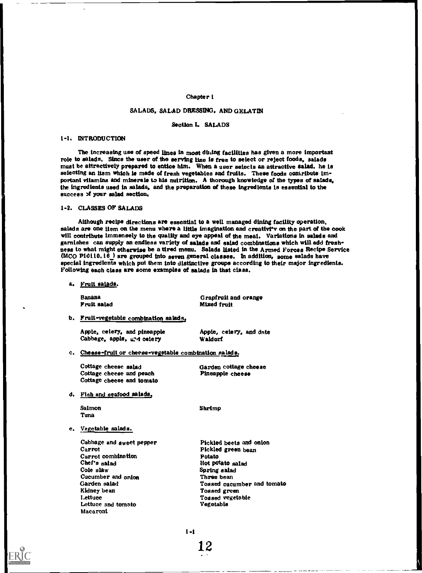#### Chapter 1

#### SALADS, SALAD DRESSING, AND GELATIN

#### Section 1. SALADS

#### 1-1. INTRODUCTION

The increasing use of speed lines in most db.ing facilities has given a more important role to salads. Sincs the user of the serving line is free to select or reject foods, salads must be attractively prepared to entice him. When a user selects an attractive salad, he Is selecting an itsm which is made of fresh vegetables and fruits. These foods contribute important vitamins and minerals to his nutrition. A thorough knowledge of the types of salads. the ingredients used in salads, and the preparation of these Ingredients is essential to the success 3f your salad section.

#### 1-2. CLASSES OF SALADS

Although recipe directions are essential to a well managed dining facility operation, salads are one item on the menu where a little imagination and creativi'v on the part of the cook will contribute immensely to the quality and eye appeal of the meal. Variations in salads and garnishes can supply an endless variety of salads and salad combinations which will add fresh ness to what might otherwise be a tired menu. Salads listed in the Armed Forces Recipe Service  $(MCO$  P10110.16  $)$  are grouped into seven general classes. In addition, some salads have special ingredients which put them into distinctive groups according to their major ingredients. Following each class are some examples of salads in that class.

a. Fruit salads.

Banana Fruit salad Grapfruit and orange Mixed fruit

b. Fruit-vegetable combination salads.

Apple, celery, and pineapple  $\begin{array}{c} \text{Apple, celery, and date} \\ \text{Cabbage, apple, a_id celery} \end{array}$ Cabbage, apple, and celery

c. Cheese-fruit or cheese-vegetable combination salads.

Cottage cheese salad Cottage cheese and peach Cottage cheese and tomato Garden cottage cheese Pineapple cheese

d. Fish and seafood salads,

**Salmon** Tuna

Shrimp

#### e. Vegetable salads.

Cabbage and sweet pepper Carrot Carrot combination Chef's salad Cole slaw Cucumber and onion Garden salad Kidney bean Lettuce Lettuce and tomato Macaroni

Pickled beets and onion Pickled green bean Potato Hot potato salad Spring salad Three bean Tossed cucumber and tomato Tossed green Tossed vegetable Vegetable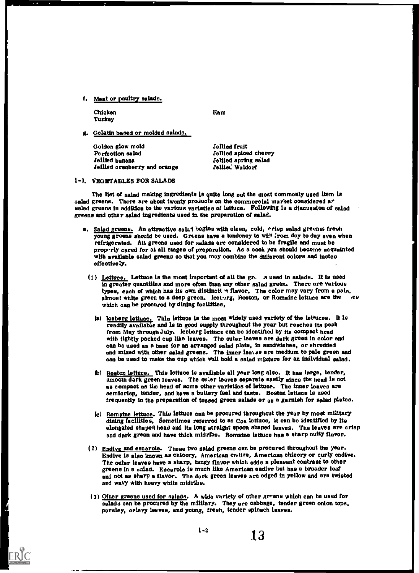f. Meat or poultry salads.

Chicken Turkey

**ERIC** 

Ham

g. Gelatin based or molded salads,

Golden glow mold Perfection salad Jellied banana Jellied cranberry and orange Jellied fruit Jellied spiced cherry Jellied spring salad Jolliet: Waldorf

#### 1-3. VEGETABLES BOB SALADS

The list of salad making ingredients is quite long out the most commonly used item is salad greens. There are about twenty projucts on the commercial market considered and salad greens in addition to the various varieties of lettuce. Following is a discussion of salad greens and other salad ingredients used in the preparation of salad.

- a. Salad greens. An attractive salad begins with clean, cold, orisp salad greens; fresh young greens should be used. Greens have a tendency to wilt from day to day even when refrigerated. Ali greens used for salads are considered to be fragile and must be properly cared for at all stages of preparation. As a cook you should become acquainted with available salad greens so that you may combine the different colors and tastes effectively.
	- (1) Lettuce. Lettuce is the most important of all the gr.\_ .s used in salads. It is used in greater quantities and more often than any other salad green. There are various types, each of which has its own distinctt  $\rightarrow$  flavor, The color may vary from a pale, almost white green to a deep green. Iceberg, Roston, or Romaine lettuce are the see which can be procured by dining facilities,
		- (a) Iceberg lettuce. Thia lettuce is the most widely used variety of the lettuces. It is readily available and is in good supply throughout the year but reaches its peak from May through July. Iceberg lettuce can be identified by its compact head with tightly packed cup like leaves. The outer leaves are dark green in color and can be used as a base for an arranged salad plate, in sandwiches, or shredded and mixed with other salad greens. The inner leates are medium to pale green and can be used to make the cup which will hold a salad mixture for an individual salad.
		- (b) Boston lettuce. This lettuce is available all year long also. It has large, tender, smooth dark green leaves. The outer leaves separate easily aince the head is not as compact as the head of some other varieties of lettuce. The inner leaves are semicrisp, tender, and have a buttery feel and taste. Boston lettuce is used frequently th the preparation of tossed green salads or as a garnish for salad plates.
		- Romaine lettuce. This lettuce can be procured throughout the year by most military dining facilities, Sometimes referred to as Cos lettuce, it can be identified by its elongated shaped head and its long straight spoon shaped leaves. The leaves are crisp and dark green and have thick midribs. Romaine lettuce has a sharp nutty flavor. (c) Rom
	- (2) Endive and escarole. These two salad greens can be procured throughout the year. Endive is also known as chicory, American emitve, American chicory or curly endive. The outer leaves have a sharp, tangy flavor which adds a pleasant contrast to other greens in a salad. Escarole is much like American endive but has a broader leaf and not as sharp a flavor. The dark green leaves are edged in yellow and are twisted and wavy with heavy white midribs.
	- (3) Other greens used for salads. A wide variety of other greens which can be used for salads can be procured by the military. They are cabbage, tender green onion tops, parsley, celery leaves, and young, fresh, tender spinach leaves.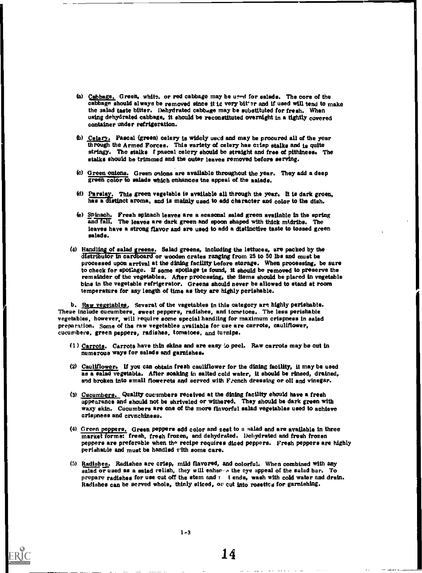- (a) Cabbage. Green, white, or red cabbage may be used for salads. The core of the cabbage should always be removed since it is very bit er and if used will tend to make the salad taste bitter. Dehydrated cabbage may be substituted for fresh. When using dehydrated cabbage, it should be reconstituted overnight in a tightly covered container under refrigeration.
- 0:0) Celery. Pascal (green) celery is widely used and may be procured all of the year through the Armed Forces. This variety of celery has crisp stalks and is quite stringy. The stalks f pascal celery should be straight and free of pithiness. The stalks should be trimmed and the outer leaves removed before serving.
- (e) Green onions. Green onions are available throughout the year. They add a deep green color to salads which enhances the appeal of the aalads.
- (d) Parsley. This green vegetable is available all through the year. It is dark green, has a distinct aroma, and is mainly used to add character and color to the dish.
- (a) Spinach. Fresh spinach leaves are a seasonal salad green available in the spring and fall. The leaves are dark green and spoon shaped with thick midribs. The leaves have a strong flavor and are used to add a distinctive taste to tossed green salads.
- (4) Handling of salad greens. Salad greens, including the lettuces, are packed by the distributor in cardboard or wooden crates ranging from 25 to 50 lbs and must be processed upon arrival at the dining facility before storage. When processing, be sure to check for spoilage. If some spoilage is found, it should be removed to preserve the remainder of the vegetables. After processing, the items should be placed in vegetable bins in the vegetable refrigerator. Greene should never be allowed to stand at room temperature for any length of time as they are highly perishable.

b. Raw vegetables, Several of the vegetables in this category are highly perishable. These include cucumbers, sweet peppers, radishes, and tomatoes.. The less perishable vegetables, however, will require some special handling for maximum crispness in salad preparation. Some of the raw vegetables available for use are carrots, cauliflower, cucumbers, green peppers, radishes, tomatoes, and turnips.

- (1) Carrots. Carrots have thin skins and are easy to peel. Raw carrots may be cut in numerous ways for salads and garnishes.
- (2) Cauliflower. If you can obtain fresh cauliflower for the dining facility, it may be used as a salad vegetabla. After soaking in salted cold water, it should be rinsed, drained, and broken into small flowerets and served with French dressing or oll and vinegar.
- (3) Cucumbers. Quality cucumbers received at the dining facility should have a fresh appearance and should not be shriveled or withered. They should be dark green with waxy skin. Cucumbers are one of the more flavorful salad vegetables used to achieve crispness and crunchiness.
- (4) Green peppers. Green peppers add color and zest to a salad and are available in three market format fresh, fresh frozen, and dehydrated. Dehydrated and fresh frozen peppers are preferable when the recipe requires diced peppers. Fresh peppers are highly perishable and must be handled vith some care.
- (5) Radishes. Radishes are crisp, mild flavored, and colorful. When combined with any salad or used as a salad relish, they will enhand the eye appeal of the salad bar. To prepare radishes for use cut off the stem and  $\tau$  tends, wash with cold water and drain. Radishes can be served whole, thinly sliced, or cut into rosettes for garnishing.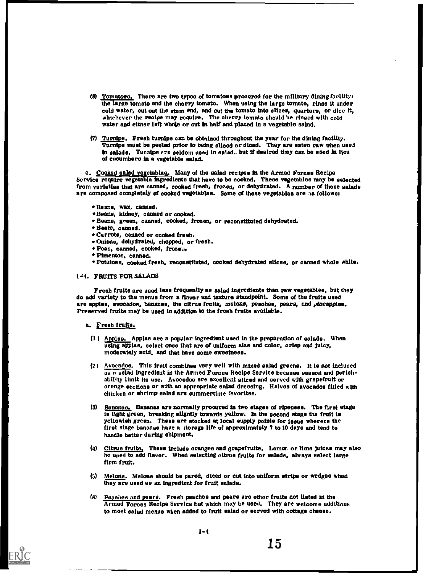- (8) Tomatoes. There are two types of tomatoes procured for the military dining facility: the large tomato and the cherry tomato. When using the large tomato, rinse it under cold water, cut out the stem end, and cut the tomato into slices, quarters, or dice it, whichever the recipe may require. The cherry tomato should be rinsed with cold water and either left whole or cut in half and placed in a vegetable salad.
- (7) Turnips, Fresh turnips can be obtained throughout the year for the dining facility. Turnips must be peeled prior to being sliced or diced. They are eaten raw when usel in salade. Turaipe are seldom used in salad, but if desired they can be used in lieu of cucumbers In a vegetable salad.

c. Cooked salad vegetablas, Many of the salad recipes in the Armed Forces Recipe Service require vegetable ingredients that have to be cooked. These vegetables may be selected from varieties that are canned, cooked fresh, frozen, or dehydrated. A number of these salads are composed completely of cooked vegetablas. Some of these vegetablas are as follows:

- Beane, wax, canned.
- \*Beans, kidney, canned or cooked.
- Beans, green, canned, cooked, frozen, or reconstituted dehydrated.
- Beete, canned.
- Carrots, canned or cooked fresh.
- \*Onions, dehydrated, chopped, or fresh.
- Peas, canned, cooked, froze
- \* Pimentos, canned.
- \*Potatoes, cooked fresh, reconstituted, cooked dehydrated slices, or canned whole white.

#### 1-4. FRUITS FOR SALADS

Fresh fruits are used less frequently as salad ingredients than raw vegetables, but they do add variety to the menus from a flavor and texture standpoint. Some of the fruits used are apples, avocados, bananas, the citrus fruits, melons, peaches, pears, and pineapples. Preserved fruits may be used in addition to the fresh fruits available.

#### a. Fresh fruits.

- (1) Apples. Applas are a popular ingredient used in the preparation of salads. When using apples, select ones that are of uniform size and color, crisp and Juicy, moderately acid, and that have some sweetness.
- (21 Avocados, This fruit combines very well with mixed salad greens. It ie not included as a salad ingredient in the Armed Forces Recipe Service because season and perishability limit its use. Avocados ere excellent sliced and served with grapefruit or orange sections or with an appropriate salad dressing. Halves of avocados filled with chicken or shrimp salad are summertime favorites.
- (3) Bananas. Bananas are normally procured in two stages of ripeness. The first stage ie light green, breaking slightly towards yellow. In the second stage the fruit ie yellowish green. These are stocked at local supply points for issue wherers the first stage bananas have a storage life of approximately 7 to 10 days and tend to handle better during shipment.
- (4) Citrus fruits. These include oranges and grapefruite. Lemon or lime juices may also he used to add flavor. When selecting citrus fruits for salads, always select large firm fruit.
- (5) Melons. Melons should be pared, diced or out into uniform stripe or wedges when they are used as an ingredient for fruit salads.
- (s) Peaches and pears. Fresh peaches and pears are other fruits not listed in the Armed Forces Recipe Service but which may be used. They are welcome additions to most salad menus when added to fruit salad or served with cottage cheese.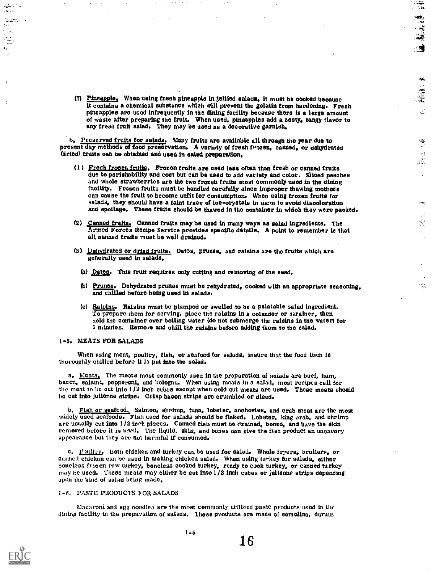(7) Pineapple, When using fresh pineapple in jeliied salads, it must be cooked beoause it contains a chemical substance which will prevent the gelatin from hardening. Fresh of waste after preparing the fruit. When used, pineapples add a zesty, tangy flavor to any fresh fruit salad. They may be used as a decorative garnish,

to the control of the control of the control of the control of the control of the control of the control of the control of the control of the control of the control of the control of the control of the control of the contr

 $\frac{1}{\sqrt{2}}$ 

 $\sim$   $\downarrow$  $\mathcal{L}_{\mathcal{A}}$ 

چې

 $\chi^2_{\mu}$ 縣  $\frac{1}{2}$ 

 $\mathcal{L}_{\rm{in}}$ 

蓬

b. Preserved fruits for salads. Many fruits are available all through the year due to present day methods of food preservation, A variety of fresh frozen, canned, or dehydrated (dried) fruits oan be obtained and used in salad preparation.

- (1) Fresh frozen truth', Frozen fruits are used less often than fresh or canned fruits due to perishability and coat but can be used to add variety and color, Sliced pesches and whole strawberries are the two frozen fruits most commonly used in the dining facility. Frozen fruits must be handled carefully since improper thawing methods can cause the fruit to become unfit for consumption. When using frozen fruits for salads, they should have a faint trace of ioe-orystals in t and spoilage. These fruits should be thawed in the container in which they were packed.
- (2) Canned fruits Canned fruits may be used in many ways as salad ingredients. The Armed Forces Recipe Service provides specific details. A point to remember is that all canned fruits must be well drained,
- (3) Dehydrated or dried fruits. Dates, prunes, and raisins are the fruits which are generally used in salads,
	- (a) Dates. This fruit requires only cutting and removing of the seed.
	- (b) Prunes, Dehydrated prunes must be rehydrated, cooked with an appropriate seasoning, and chilled before being used in salads.
	- (c) Raisins, Raisins must be plumped or swelled to be a palatable salad ingredient, To prepare them for serving, place the raisins in a colander or strainer, then hold the container over boiling water (do not submerge the raisins in the water) for 5 minutes, Remove and chill the raisins before adding them to the salad,

#### 1..5, MEATS FOR SALADS

When using meat, poultry, fish, or seafood for salads, insure that the food item is thoroughly chilled before it Is put into the salad.

a. Meats, The meats most commonly used in the proparation of salads are beef, ham, bacon, salami, pepperoni, and bologna, When using meats in a salad, most recipes call for the meat to be cut into 1/2 inch cubes except when cold cut meats are used. These meats should be cut into julienne strips. Crisp bacon strips are crumbled or diced.

b. Fish or seafood. Salmon, shrimp, tuna, lobster, anchovies, and crab meat are the most widely used seafoods. Fish used for salads should be flaked. Lobster, king crab, and shrimp are usually cut into 1/2 inch pieces. Canned fish must be drained, boned, and have the skin removed before it is used. The liquid, skin, and bones can give the fish product an unsavory appearance but they are not harmful if consumed,

c. Poultry. Both chicken and turkey can be used for salad. Whole fryers, broilers, or canned chicken can be used in making chicken salad. When using turkey for salads, either boneless frozen raw turkey, boneless cooked tu may be used, These meats may either be cut into 1 /2 inch cubes or julienne strips depending upon the kind of salad being made,

#### 1-6, PASTE PRODUCTS VOR SALADS

Macaroni and egg noodles are the most commonly utilized paste products used in the dining facility in the preparation of salads. These products are made of semolina, durum



- .

٠.

**Section**  $\frac{1}{\sigma_{\rm{jet}}}$ he.<br>Daoine  $\frac{1}{2}$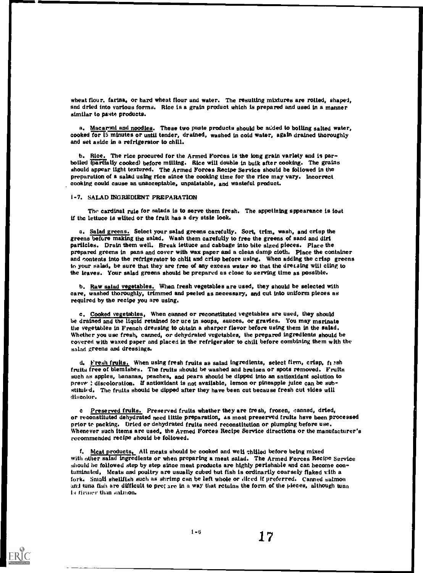wheat flour, farina, or hard wheat flour and water. The resulting mixtures are rolled, shaped, snd dried into various forms, Rice is a grain product which is prepared and used in a manner similar to paste products.

a. Macaroni and noodles. These two paste products should be added to boiling salted water, cooked for 15 minutes or until tender, drained, washed in cold water, again drained thoroughly and set aside in a refrigerator to chill.

b, Rice, The rice procured for the Armed Forces is the long grain variety and is parboiled to artially cooked) before milling. Rice will double in buik after cooking. The grains should appear light textured. The Armed Forces Recipe Service should be followed in the preparation of a salad using rice since the cooking time for the rice may vary. Incorrect cooking could cause an unacceptable, unpalatable, and wasteful product.

#### 1-7, SALAD INGREDIENT PREPARATION

The cardinal rule for salads is to serve them fresh. The appetizing sppearance is lost if the lettuce is wilted or the fruit has a dry stsle look.

a, Salad greens, Select your salad greens carefully. Sort, trim, wash, and crisp the greens before making the salad. Wash them carefully to free the greens of sand and diri particles, Drain them well, Break lettuce and cabbage into bite sized pieces. Place the prepared greens in pans and cover with wax paper and a clean damp cloth. Place the container and contents into the refrigerator to chill and crisp before using. When adding the crisp greens to your salad, be sure that they are free of any excess water so that the dreteing will cling to the leaves. Your salad greens should be prepared as close to serving time as possible.

b, Raw salad vegetables, When fresh vegetables are used, they should be selected with care, washed thoroughly, trimmed and peeled as necessary, and cut into uniform pieces as required by the recipe you are using.

c, Cooked vegetables, When canned or reconstituted vegetables are used, they should be drained and the liquid retained for uce in soups, sauces, or gravies. You may msrinate the vegetables in French dressing to obtain a shsrper flavor before using them in the salad, Whether you use fresh, canned, or dehydrated vegetables, the prepared ingredients should be covered with waxed paper and placed in the refrigerator to chill before combining them with the salad greens and dressings.

d, Fresh fruits. When using fresh fruits as salad ingredients, select firm, crisp, fi ish fruits free of blemishes, The fruits should be washed and bruises or spots removed. Fruits such as apples, bananas, peaches, and pears should be dipped into an sntioxidant solution to preve : discoloration. If antioxidant is not available, lemon or pineapple juice can be substituied, The fruits should be dipped after they have been cut because fresh cut sides will discolor.

c Preserved fruits. Preserved fruits whether they are fresh, frozen, canned, dried, or reconstituted dehydrated need little preparation, as most preserved fruits hsve been processed prior to packing. Dried or dehydrated fruits need reconstitution or plumping before use, Whenever such items are used, the Armed Forces Recipe Service directions or the manufacturer's recommended recipe should be followed.

f. Meat products, All meats should be cooked and well chilled before being mixed with other salad ingredients or when preparing a meat salad. The Armed Forces Recipe Service should be followed step by step since meat products are highly perishable and can become contaminated, Meats and poultry are usually cubed but fish is ordinarily coarsely flaked with a fork, Small shellfish such as shrimp can be left whole or diced if preferred. Canned salmon and tuna fish are difficult to pret are in a way that retains the form of the pieces, although tuna is rimier than salmon.

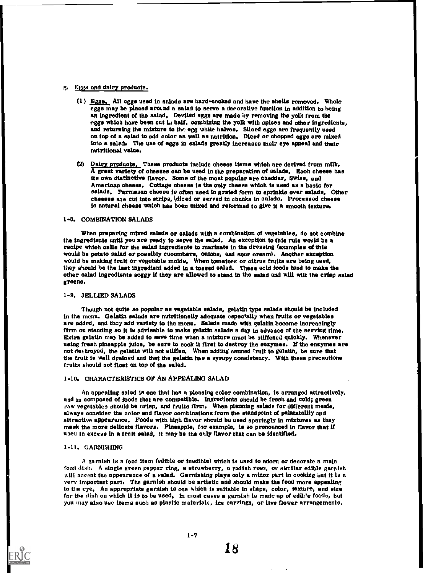#### g. Eggs and dairy products.

- $(1)$  Eggs. All eggs used in salads are hard-cooked and have the shells removed. Whole eggs may be placed around a salad to serve a decorative function in addition to being an ingredient of the salad. Deviled eggs are made by removing the yolk from the eggs which have been cut  $L_1$  half, combining the yolk with spices and other ingredients, and returning the mixture to the egg white halves. Sliced eggs are frequently used on top of a salad to add color as well as nutrition. Diced or chopped egge are mixed into a salad. The use of eggs in salads greatly increases their eye appeal and their nutritional value.
- (2) Dairy products. These products include cheese items which are derived from  $milk<sub>e</sub>$ A great variety of ohesses oan be used in the preparation of salads. Each cheese has its own distinctive flavor. Some of the most popular are cheddar, Swiss, and American cheese. Cottage cheese is the only cheese which is used as a basis for salads. Parmesan cheese is often used in grated form to sprinkle over salads. Other cheeses ate cut into strips, idiced or served in chunks in salads. Processed cheese is natural cheese which has been mixed and reformed to give it a smooth texture.

#### 1-8. COMBINATION SALADS

When preparing mixed salads or salads with a combination of vegetables, do not combine the ingredients until you are ready to serve the salad. An exception to this rule would be a recipe whioh calls for the salad ingredients to marinats in the dressing (examples of this would be potato salad or possibly cuoumbers, onions, and sour oream). Another exception would be making fruit or vegetable molds. When tomatoes or citrus fruits are being used, they should be the last ingredient added in a tossed salad. These acid foods tend to make the other salad ingredients soggy if they are allowed to stand in the salad and will wilt the crisp salad greens.

#### 1-9. JELLIED SALADS

Though not quite so popular as vegetable salads, gelatin type salads should be included in the menu. Gelatin salads are nutritionslly adequate espectally when fruits or vegetables are added, and they add variety to the menu. Salads made with gelatin become increasingly firm on standing so it is advisable to make gelatin salads a day in advance of the serving time. Extra gelatin ma) be added to save time when a mixture must be stiffened quickly. Whenever using fresh pineapple juice, be sure to cook it first to destroy the enzymes. If the enzymes are not destroyed, the gelatin will not stiffen. When adding canned 'ruit to gelatin, be sure that the fruit is well drained and that the gelatin has a syrupy consistency. With these precautions fruits should not float on top of the salad.

#### 1-10. CHARACTERISTICS OF AN APPEALING SALAD

An appealing salad is one that has a pleasing color combination, is arranged attractively, and is composed of foods that are compatible. Ingredients should be fresh and cold; green raw vegetables should be crisp, and fruits firm. When planning salads for different meals, always consider the color and flavor combinations from the standpoint of palatability and attractive appearance. Foods with high flavor should be used sparingly in mixtures as they mask the more delicate flavors. Pineapple, for example, is so pronounced in flavor that if used in excess in a fruit salad, it may be the only flavor that can be identified.

#### 1-11. GARNISHING

A garnish is a food item (edible or inedible) which is used to adorn or decorate a main food dish. A single green pepper ring, a strawberry, a radish rose, or similar edible garnish will accent the appearance of a salad. Garnishing plays only a minor part in cooking but it Is a very important part, The garnish should be artistic and should make the food more appealing to the eye. An appropriate garnish is one which is suitable in shape, color, texture, and size for the dish on which it is to be used. In most cases a garnish is made up of edible foods, but you may also use items such as plastic materials, ice carvings, or live flower arrangements.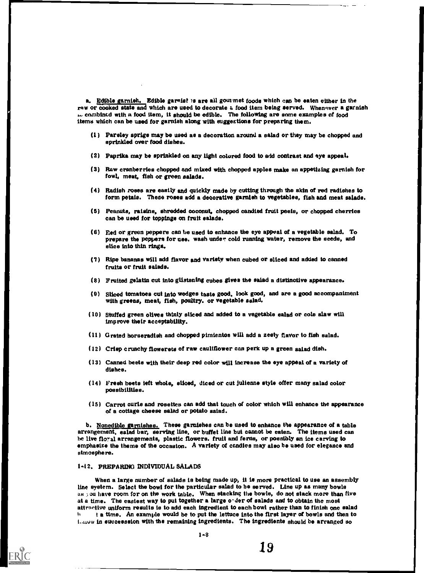a. Edible garnish. Edible garnist is are all gourmet foods which can be eaten either in the raw or cooked state and which are used to decorate a food item being served. Whenever a garnish .- combined with a food item, it should be edible. The following are some examples of food items which can be used for garnish along with suggestions for preparing them.

- (1) Parsley sprigs may be used as a decoration around a salad or they may be chopped and sprinkled over food dishes.
- (2) Paprika may be sprinkled on any light colored food to add contrast and eye appeal.
- (3) Raw cranberries chopped and mixed with chopped apples make an appetizing garnish for fowl, meat, fish or green salads.
- (4) Radish roses are easily and quickly made by cutting through the skin of red radishes to form petals. These roses add a decorative garnish to vegetables, fish and meat salads.
- (5) Peanuts, raisins, shredded coconut, chopped candied fruit peels, or chopped cherries can be used for toppings on fruit salads.
- (8) Red or green peppers can be used to enhance the eye appeal of a vegetable salad. To prepare the peppers for use, wash under cold running water, remove the seeds, and slice into thin rings.
- (7) Ripe bananas will add flavor and variety when cubed or sliced and added to canned fruits or fruit salads.
- (8) Fruited gelatin cut into glistening cubes gives the salad a distinctive appearance.
- (8) Sliced tomatoes cut into wedges taste good, look good, and are a good accompaniment With greens, meat, fish, poultry, or vegetable salad.
- (10) Stuffed green olives thinly sliced and added to a vegetable salad or cote slaw will improve their acceptability.
- (11) Grated horseradish and chopped pimientos will add a zesty flavor to fish salad.
- (12) Crisp crunchy flowerets of raw cauliflower can perk up a green salad dish.
- (13) Canned beets with their deep red color will increase the eye appeal of a variety of dishes,
- (14) Fresh beets ieft whole, sliced, diced or cut julienne style offer many salad color possibilities.
- (15) Carrot curls and rosettes can add that touch of color which will enhance the appearance of a cottage cheese salad or potato salad.

b. Nonedible garnishes. These garnishes can be used to enhance the appearance of a table arrangement, salad bar, serving line, or buffet line but cannot be eaten. The items used can be live floral arrangements, plastic flowers, fruit and ferns, or possibly an ice carving to emphasize the theme of the occasion. A variety of candles may also be used for elegance and atmosphere.

#### 1-12. PREPARING INDIVIDUAL SALADS

When a large number of salads is being made up, it is more practical to use an assembly line system. Select the bowl for the particular salad to be served. Line up as many bowls as you have room for on the work table. When stacking the bowls, do not stack more than five at a time. The easiest way to put together a large order of salads and to obtain the most attractive uniform results is to add each ingredient to each bowl rather than to finish one salad t a time. An example would be to put the lettuce into the first layer of bowls and then to 1.,t.ow in sueceession with the remaining ingredients. The ingredients should be arranged so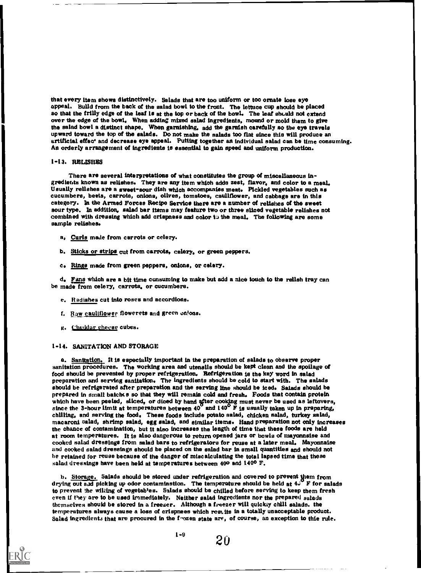that every item shows distinctively. Salads that are too uniform or too ornate lose eye appeal. Build from the back of the salad bowl to the front. The lettuce cup should be placed so that the frilly edge of the leaf is at the top or back of the bowl. The leaf should not extend over the edge of the bowl. When adding mixed salad ingredients, mound or mold them to give the salad bowl a distinct shape. When garnishing, add the garnish carefully so the eye travels upward toward the top of the salads. Do not make the salads too flat since this will produce an artificial effec<sup>t</sup> and decrease eye appeal. Putting together an individual salad can be time consuming. An orderly arrangement of ingredients is essential to gain speed and uniform production.

#### 1-13. RELISHES

There are several interpretations of what constitutes the group of miscellaneous ingredients known as relishes. They are any item which adds zest, flavor, and color to a meal.<br>Usually relishes are a gweet-sour dish which accompanies meat. Pickled vegetables such as cucumbers, beets, carrots, onions, olives, tomatoes, cauliflower, and cabbage are in this category. In the Armed Forces Recipe Service there are a number of relishes of the sweet sour type. In addition, salad bar Items may feature two or three sliced vegetable relishes not combined with dressing which add crispness and color to the meal. The following are some sample relishes.

- a, Curls male from carrots or celery.
- b. Sticks or strips cut from carrots, celery, or green peppers.
- c. Rings made from green peppers, onions, or celery.

d, Fans which are a bit time consuming to make but add a nice touch to the relish tray can be made from celery, carrots, or cucumbers.

- e. Radishes cut into roses and accordions.
- f. Raw cauliflower flowerets and green onlons.
- g. cheddar cheese cubes.

#### 1.14. SANITATION AND STORAGE

a. Sanitation. It is especially important in the preparation of salads to observe proper sanitation procedures. The working area and utensils should be kept clean and the spoilage of food should be prevented by proper refrigeration. Refrigeration is the key word in salad preparation and serving sanitation. The Ingredients should be cold to start with. The salads should be refrigerated after preparation and the serving line should be iced. Salads should be prepared in small batches so that they will remain cold and fresh. Foods that contain protein which have been peeled, sliced, or diced by hand after cooking must never be used as leftovers, since the 3-hour limit at temperatures between  $40^{\circ}$  and  $140^{\circ}$  F is usually taken up in preparing, chilling, and serving the food. These foods include potato salad, chicken salad, turkey salad, macaroni salad, shrimp salad, egg salad, and similar items. Hand preparation not only increases the chance of contamination, but it also increases the length of time that these foods are held at room temperatures. It is also dangerous to return opened Jars or bowls of mayonnaise and cooked salad dressings from salad bars to refrigerators for reuse at a later meal. Mayonnaise and cooked salad dressings should be placed on the salad bar in small quantities and should not he retained for reuse because of the danger of miscalculating the total lapsed time that these salad dressings have been held at temperatures between 400 and 1400 F.

b. Storage. Salads should be stored under refrigeration and covered to prevent them from drying out and picking up odor contamination. The temperature should be held at  $4.6$  F for salads to prevent the wilting of vegetables. Salads should be chilled before serving to keep them fresh even if they are to be used immediately. Neither salad ingredients nor the prepared salads themselves should be stored in a freezer. Although a freezer will quickly chill salads, the temperatures always cause a loss of crispnees which results in a totally unacceptable product. Salad ingredients that are procured in the  $f$ -ozen state are, of course, an exception to thie rule.

 $1 - 9$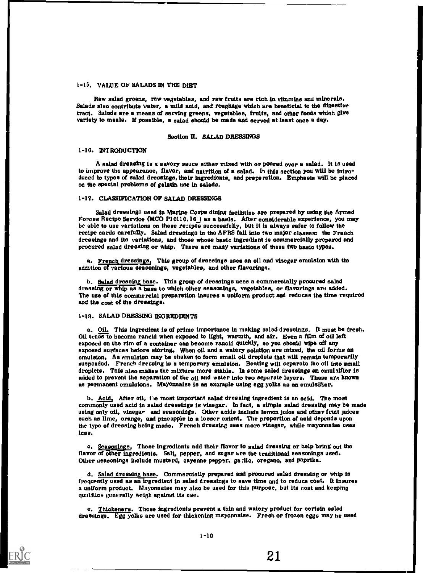#### 1 -15. VALUE OF SALADS IN THE DIET

Raw salad greens, raw vegetables, and raw fruits are rich in vitamins and minerals. Salads also contribute water, a mild acid, and roughage which are beneficial to the digestive tract. Salads are a means of serving greens, vegetables, fruits, and other foods which give variety to meals. U possible, a salad should be made and served at least once a day.

#### Section U. SALAD DRESSINGS

#### 1-16. INTRODUCTION

A salad dreasing is a savory sauce either mixed with or poured over a salad. It is used to improve the appearance, flavor, and nutrition of a salad. In this section you will be intro-<br>duced to types of salad dressings, their Ingredients, and preparation. Emphasis will be placed on the special problems of gelatin use in salads.

#### 1-17, CLASSIFICATION OF SALAD DRESSINGS

Salad dressings used in Marine Corps dining facilities are prepared by using the Armed Forces Recipe Service (MCO P10110,16) as a basis. After considerable experience, you may be able to use variations on these rezipes successfully, but it is always safer to follow the recipe cards carefully. Salad dressings in the AFRS fall into two major classes: the French dressings and its variations, and those whose basic ingredient is commercially prepared and procured salad dressing or whip. There are many variations of these two basic types.

a. French dressings, This group of dressings uses an oil and vinegar emulsion with the addition of various seasonings, vegetables, and other flavorings.

b. Salad dressing base. This group of dressings uses a commercially procured salad dressing or whip as a base to which other seasonings, vegetables, or flavorings are added. The use of this commercial preparation insures a uniform product and reduces the time required and the cost of the dressings.

#### 1-16. SALAD DRESSING INGREDIENTS

a. Oil. This ingredient is of prime importance in making salad dressings. It must be fresh. Oil tends to become rancid when exposed to light, warmth, and air. Even a film of oil left exposed on the rim of a container can become rancid quickly, so you should wipe off any exposed surfaces before storing. When oil and a watery solution are mixed, the oil forms an emulsion. An emulsion may be shsken to form small oil droplets that will remain temporarily suspended. French dressing is a temporary emulsion. Beating will separate the oil into small droplets. This also makes the mixture more stable. In some salad dressings an emulaifier is added to prevent the separation of the oil and wster into two separate layers. These are known as permanent emulsions. Mayonnaise is an example using egg yolks as an emulsifier.

b. Acid, After oil, the most important salad dressing ingredient is an scid. The most commonly used acid in salad dressings is vinegar. In fact, a simple salad dressing may be made using only oil, vinegar and seasonings. Other acids include lemon juice and other fruit juices such as lime, orange, and pineapple to a lesser extent, The proportion of acid depends upon the type of dressing being made. French dressing uses more vinegsr, while mayonnaise uses Ices.

c, Seasonings. These ingredients add their flavor to salad dressing or help bring out the flavor of other ingredients. Salt, pepper, and sugar are the traditional seasonings used. Other seasonings include mustard, cayenne peppyr. ga lic, oregano, and paprika.

d. Salad dressing base. CommereisUy prepared and procured salad dressing or whip is frequently used as an ingredient in salad dressings to save time and to reduce cost. It insures a uniform product. Mayonnaise may also be used for this purpose, but its cost and keeping qualities generally weigh against its use.

c. Thickeners. These ingredients prevent a thin and watery product for certsin sslad dressings. Egg yolks are used for thickening mayonnaise. Fresh or frozen eggs may be used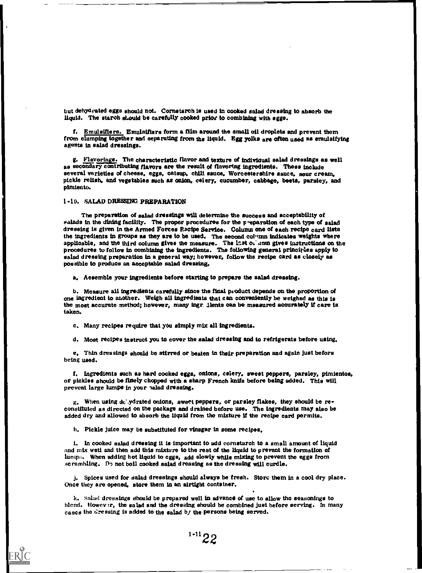but dehydrated eggs should not. Cornstarch is used in cooked salad dressing to absorb the liquid. The starch should be carefully cooked prior to combining with sggs.

f. Emulsifiers. Emulsifiers form a film around the small oil droplets and prevent them from clumping together and separating from the liquid. Egg yolks are often used as emulsifying agents in salad dressings.

g. Flavorings. The characteristic flavor and texture of individual salad dressings as well as secondary contributing flavors are the result of flavoring ingredients. These include several varieties of cheese, eggs, catsup, chili sauce, Worcestershire sauce, sour cream, pickle relish, and vegetables such as onion, celery, cucumber, cabbage, beets, parsley, and pimiento.

1-10. SALAD DRESSING PREPARATION

The preparation of salad dressings will determine the success and acceptability of salads in the dining facility. The proper procedures for the p-eparation of each type of salad dressing is given in the Armed Forces Recipe Service. Column one of each recipe card lists the ingredients in groups as they are to be used. The second column indicates weights where applicable, and the third column gives the measure. The last column gives instructions on the procedures to follow in combining the ingredients. The following general principles apply to salad dressing preparation in a general way; however, follow the recipe card as closely as possible to produce an acceptable salad dressing.

a. Aesemble your ingredients before starting to prepare the salad dressing.

b. Measure all ingredients carefully since the final product depends on the proportion of one ingredient to another. Weigh all ingredients that can conveniently be weighed as this is the most accurate method; however, many ingr. Alents can be measured accurately if care is taken.

c. Many recipes require that you simply mix all ingredients.

d. Most recipes instruct you to cover the salad dressing and to refrigerate before using.

e. Thin dressings should be stirred or beaten in their preparation and again just before being used.

f. Ingredients such as hard cooked eggs, onions, celery, sweet peppers, parsley, pimientos, or pickles should be finely chopped with a sharp French knife before being added. This will prevent large lumps in your salad dressing.

g. When using dc'.ydrated onions, sweet peppers, or parsley flakes, they should be reconstituted as directed on the package and drained before use. The ingredients may also be added dry and allowed to absorb the liquid from the mixture if the recipe card permits.

h. Pickle juice may be substituted for vinegar in some recipes,

1. In cooked salad dressing it is important to add cornstarch to a small amount of liquid and mix well and then add this mixture to the rest of the liquid to prevent the formation of lumps. When adding hot liquid to eggs, add slowly while mixing to prevent the eggs from scrambling. Do not boil cooked salad dressing as the dressing will curdle.

j. Spices used for salad dressings should always be fresh. Storc them in a cool dry place. Once they are opened, store them in an airtight container.

k. Salad dressings should be prepared well in advance of use to allow the seasonings to blend. Howev r, the salad and the dressing should be combined just before serving. In many cases the dressing is added to the salad by the persons being served.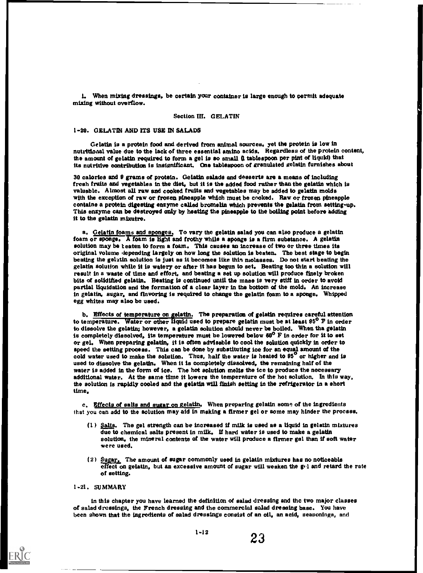I. When mixing dressings, be certain your container is large enough to permit adequate mixing without overflow,

#### Section III. GELATIN

#### 1-20, GELATIN AND ITS USE IN SALADS

Gelatin is a protein food and derived from animal sources, yet the protein is low in nutritional value due to the lack of three essential amino acids. Regardless of the protein content, the amount of gelatin required to form a gel is so small (1 tablespoon per pint of liquid) that its nutritive contribution is insignificant. One tablespoon of granulated gelatin furnishes about

30 calories and 0 grams of protein. Gelatin salads and desserts are a means of including fresh fruits and vegetables in the diet, but it is the added food rather than the gelatin which is valuable, Almost all raw and cooked fruits and vegetables may be added to gelatin molds with the exception of raw or frozen pineapple which must be cooked, Raw or frozen pineapple contains a protein digesting enzyme called bromelin which prevents the gelatin from setting-up. This enzyme can be destroyed only by heating the pineapple to the boiling point before adding it to the gelatin mixutre,

a. Gelatin foams and sponges, To vary the gelatin salad you can also produce a gelatin foam or sponge. A foam is light and frothy while a sponge is a firm substance. A gelatin solution may be teaten to form a foam. This causes an increase of two or three times its original volume depending largely on how long the solution is beaten. The best stage to begin beating the gelatin solution is just as it becomes like thin molasses. Do not start beating the gelatin solution while it is watery or after it has begun to set, Beating too thin a solution will result in a waste of time and effort, and beating a set up solution will produce finely broken bits of solidified gelatin. Beating is continued until the mass is very stiff in order to avoid Partial liquidation and the formation of a clear layer in the bottom of the mold, An increase in gelatin, sugar, and flavoring is required to change the gelatin foam to a sponge, Whipped egg whites may also be used,

b, Effects of temperature on gelatin, The preparation of gelatin requires careful attention to temperature. Water or other liquid used to prepare gelatin must be at least 95<sup>0</sup> F in order to dissolve the gelatin: however, a gelatin solution should never be boiled, When tha gelatin is completely dissolved, its temperature must be lowered below 60° F in order for it to set or gel. When preparing gelatin, it is often advisable to cool the solution quickly in order to speed the setting process, This can be done by substituting ice for an equal amount of the cold water used to make the solution. Thus, half the water is heated to 95<sup>°</sup> or higher and is used to dissolve the gelatin, When it is completely dissolved, the remaining half of the water is added in the form of ice, The hot solution melts the ice to produce the necessary additional water, At the same time it lowers the temperature of the hot solution. In this way, the solution is rapidly cooled and the gelatin will finish setting in the refrigerator in a short time,

c. Effects of salts and sugar on gelatin. When preparing gelatin some of the ingredients that you can add to the solution may aid in making a firmer gel or some may hinder the process.

- (1)  $Salts$ . The gel strength can be increased if milk is used as a liquid in gelatin mixtures due to chemical salts present in milk, If hard water is used to make a gelatin solution, the mineral contents of the water will produce a firmer gel than if soft water were used.
- $(2)$  Sugar, The amount of sugar commonly used in gelatin mixtures has no noticeabls effect on gelatin, but an excessive amount of sugar will weaken the gol and retard the rate of setting,

#### I -21 . SUMMARY

in this chapter you have learned the definition of salad dressing and the two major classes of salad dressings, the French dressing and the commercial salad dressing base, You have been shown that the ingredients of salad dressings consist of an oil, an acid, seasonings, and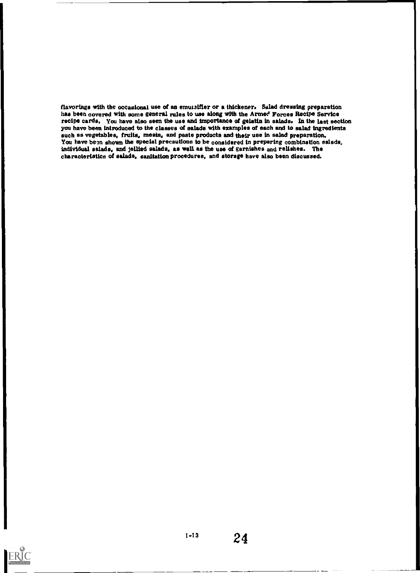flavorings with the occasional use of an emutaifier or a thickener. Salad dressing preparation has been covered with some general rules to use along with the Armed Forces Recipe Service recipe cards. You have also seen the use and importance of gelatin in salads. In the last section you have been introduced to the classes of salads with examples of each and to salad ingredients such as vegetables, fruits, meats, and paste products and their use in salad preparation. You have been shown the special precautions to be considered in preparing combination salads, individual salads, and jellied salads, as well as the use of garnishes and relishes. The characteristics of salads, sanitation procedures, and storage have also been discussed.

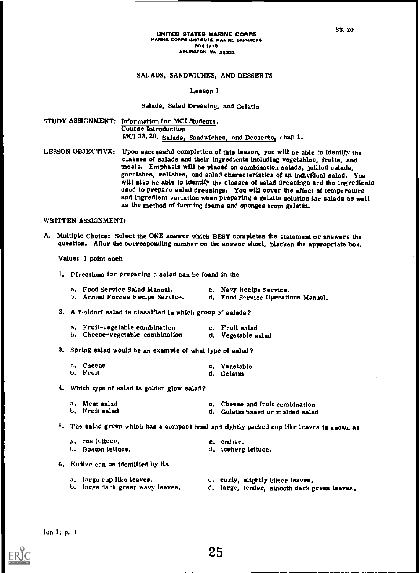#### UNITED STATES MARINE CORPS MARINE CORPS INSTITUTE. MARINE BARRACKS **BOX 1775** ARLINGTON. VA. 24222

#### SALADS, SANDWICHES, AND DESSERTS

#### Lesson I

#### Salads, Salad Dressing, and Gelatin

STUDY ASSIGNMENT: Information for MCI Students. Course Introduction MCI 33. 20, Salade, Sandwiches, and Desserts, chap 1.

LESSON OBJECTIVE; Upon successful completion of this lesson, you will be able to identify the classes of salads and their ingredients including vegetables, fruits, and meats, Emphasis will be placed on combination salads, jellied salads, garnishes, relishes, and salad characteristics of an individual salad. You<br>will also be able to identify the classes of salad dressings and the ingredients used to prepare salad dressings. You will cover the effect of temperature and ingredient variation when preparing a gelatin solution for salads as well as the method of forming foams and sponges from gelatin,

#### WRITTEN ASSIGNMENT:

A, Multiple Choice: Select the ONE answer which BEST completes the statement or answers the question, After the corresponding number on the answer sheet, blacken the appropriate box,

Value; I point each

1. Pirectiona for preparing a salad can be found in the

| a. Food Service Salad Manual.   | c. Navy Recipe Service.            |
|---------------------------------|------------------------------------|
| b. Armed Forces Recipe Service. | d. Food Service Operations Manual. |

2, A Waldorf salad is clasaified in which group of salads?

a. Fruit-vegetable combination c. Fruit salad<br>b. Cheese-vegetable combination d. Vegetable salad b. Cheese-vegetable combination

3. Spring salad would be an example of what type of salad?

| a. Cheeae | c. Vegetable |
|-----------|--------------|
| b. Fruit  | d. Gelatin   |

4, Which type of salad is golden glow salad?

| a. Meat aalad  | c. Cheeae and fruit combination  |
|----------------|----------------------------------|
| b. Fruit salad | d. Gelatin baaed or molded salad |

5. The salad green which has a compact head and tightly packed cup like leaves is known as

| a. - cos lettuce. - | c. endive.          |
|---------------------|---------------------|
| b. Boston lettuce.  | d. iceherg lettuce. |

- 6. Endive can be identified by its
	- a, large cop like leaves. e. curly, slightly bitter leaves,
	- b, large dark green wavy leaves.
		- d, large, tender, stnooth dark green leaves,

Ian I; p, <sup>1</sup>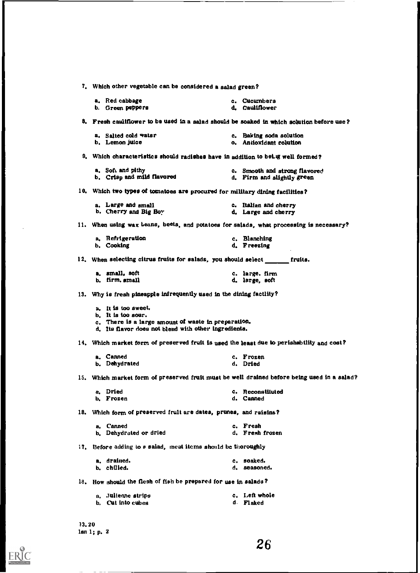|     | 7. Which other vegetable can be considered a salad green?                                                      |
|-----|----------------------------------------------------------------------------------------------------------------|
|     | a, Red cabbage<br>c. Cucumbers<br>d. Cauliflower<br>b. Green peppers                                           |
|     | 8. Fresh cauliflower to be used in a salad should be soaked in which solution before use?                      |
|     | a. Salted cold watsr<br>c. Baking soda solution<br>b. Lemon juice<br>o. Antioxidant colution                   |
|     | 9. Which characteristics should radishes have in addition to being well formed?                                |
|     | a. Soft and pithy<br>c. Smooth and strong flavored<br>b. Crisp and mild flavored<br>d. Firm and slightly green |
|     | 10. Which two types of tomatoes are procured for military dining facilities?                                   |
|     | a. Large and small<br>c. Italian and cherry<br>b. Cherry and Big Boy<br>d. Large and cherry                    |
|     | 11. When using wax beans, beets, and potatoes for salads, what processing is necessary?                        |
|     | a. Refrigeration<br>c. Blanching<br>b. Cooking<br>d. Freezing                                                  |
|     | 12. When selecting citrus fruits for salads, you should select fruits.                                         |
|     | a, small, soft<br>c. large. firm<br>b. firm. small<br>d. large, soft                                           |
|     | 13. Why is fresh pineapple infrequently used in the dining factlity?                                           |
|     | a. It is too sweet.<br>b. It is too sour.                                                                      |
|     | c. There is a large amount of waste in preparation.<br>d. Its flavor does not blend with other ingredients.    |
|     | 14. Which market form of preserved fruit is used the least due to perishability and cost?                      |
|     | a. Canned<br>c. Frozen<br>b. Dehydrated<br>d. Dried                                                            |
|     | 15. Which market form of preserved fruit must be well drained before being used in a salad?                    |
|     | a. Dried<br>c. Reconstituted<br>b. Frozen<br>d. Canned                                                         |
|     | 18. Which form of preserved fruit are dates, prunes, and raisins?                                              |
|     | c. Fresh<br>Canned<br>a.<br>d. Fresh frozen<br>b. Dehydrated or dried                                          |
| 17. | Before adding to a salad, meat items should be thoroughly                                                      |
|     | a. drained.<br>c. soaked.<br>b. chilled.<br>d. seasoned.                                                       |
|     | 18. How should the flesh of fish be prepared for use in salads?                                                |
|     | c. Left whole<br>a. Julieane strips<br>b. Cut into cubes<br>d. Flaked                                          |
|     |                                                                                                                |

33,20 Ian 1; p, 2

 $\sum_{\mathcal{F}_{\text{full factor level by EBC}}}$ 

26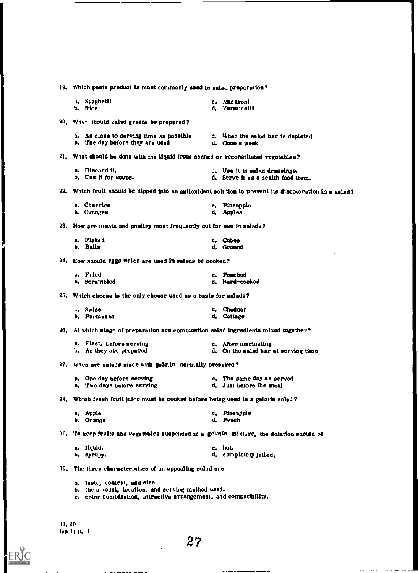| 19. Which paste product is most commonly used in salad preparation?                                                                                   |                                                                                                        |  |  |  |  |  |
|-------------------------------------------------------------------------------------------------------------------------------------------------------|--------------------------------------------------------------------------------------------------------|--|--|--|--|--|
| a. Spaghetti<br>b. Rice                                                                                                                               | c. Macaroni<br>d. Vermicelli                                                                           |  |  |  |  |  |
| 20. When should salad greens be prepared?                                                                                                             |                                                                                                        |  |  |  |  |  |
| a. As close to serving time as possible<br>b. The day before they are used                                                                            | c. When the salad bar is depleted<br>d. Once a week                                                    |  |  |  |  |  |
| 21. What should be done with the liquid from canned or reconstituted vegetables?                                                                      |                                                                                                        |  |  |  |  |  |
| a. Discard it.<br>b. Use it for soups.                                                                                                                | t. Use it in salad dressings.<br>d. Serve it as a health food item.                                    |  |  |  |  |  |
|                                                                                                                                                       | 22. Which fruit should be dipped into an antioxidant solution to prevent its discoloration in a salad? |  |  |  |  |  |
| a. Cherrics<br>b. Cranges                                                                                                                             | c. Pineapple<br>d. Apples                                                                              |  |  |  |  |  |
| 23. How are meats and poultry most frequently cut for use in salads?                                                                                  |                                                                                                        |  |  |  |  |  |
| a. Flaked<br>b. Balls                                                                                                                                 | c. Cubes<br>d, Ground                                                                                  |  |  |  |  |  |
| 24. How should eggs which are used in salsds be cooked?                                                                                               |                                                                                                        |  |  |  |  |  |
| a. Fried<br>b. Scrambled                                                                                                                              | c. Poached<br>d. Hard-cooked                                                                           |  |  |  |  |  |
| 25. Which cheese is the only cheese used as a basis for salads?                                                                                       |                                                                                                        |  |  |  |  |  |
| L. Swiss<br>b. Parmesan                                                                                                                               | c. Cheddar<br>d. Cottage                                                                               |  |  |  |  |  |
| 26. At which stage of preparation are combination salad ingredients mixed together?                                                                   |                                                                                                        |  |  |  |  |  |
| a. First, before serving<br>b. As they are prepared                                                                                                   | c. After marinating<br>d. On the salad bar at serving time                                             |  |  |  |  |  |
| 27. When are saleds made with gelatin normally prepered?                                                                                              |                                                                                                        |  |  |  |  |  |
| a. One day before serving<br>b. Two days before serving                                                                                               | c. The same day as served<br>d. Just before the meal                                                   |  |  |  |  |  |
| 28. Which fresh fruit juice must be cooksd before being used in a gelatin salad?                                                                      |                                                                                                        |  |  |  |  |  |
| a. Apple<br>b. Orange                                                                                                                                 | c. Pineapple<br>d. Peach                                                                               |  |  |  |  |  |
| 29. To keep fruits and vegetables suspended in a gelatin mixture, the solution should be                                                              |                                                                                                        |  |  |  |  |  |
| a. liquid.<br>b. syrupy.                                                                                                                              | c. hot.<br>d. completely jeiled.                                                                       |  |  |  |  |  |
| 30. The three characteristics of an appealing salad are                                                                                               |                                                                                                        |  |  |  |  |  |
| a. taste, content, and size.<br>b, the amount, location, and serving method used.<br>e. color combination, attractive arrangement, and compatibility. |                                                                                                        |  |  |  |  |  |

33.20 lea 1; p. 3

ERIC

ľ

 $\sim$  27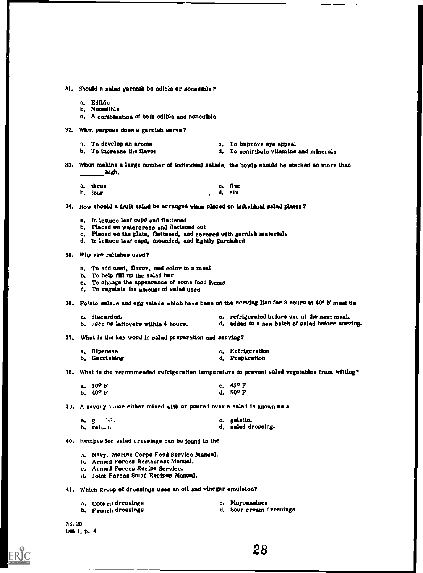31, Should a salad garnish be edible or nonedible?

- a. Edible
- b, Nonedible
- c. A combination of both edible and nonedible
- 32. What purpose does a garnish serve?
	- $n<sub>r</sub>$ . To develop an aroma c. To improve eye appeal
	- b. To increase the flavor d. To contribute vitamins and minerals
- 33. When making a large number of individual salads, the bowls should be stacked no more than high

| a, three |  | c. five |
|----------|--|---------|
| b, four  |  | d. six  |

34. How should a fruit salad be arranged when placed on individual salad plates?

- a, in lettuce leaf cups and flattened
- b. Placed on watercress and flattened out
- c. Placed on the plate, flattened, and covered with garnish materials
- d. In lettuce leaf cups, mounded, and lightly garnished

35. Why are relishes used?

- a. To add zest, flavor, and color to a meal
- b. To help fill up the salad bar
- c. To change the appearance of some food items
- d. To regulate the amount of salad used

36. Potato salads and egg salads which have been on the serving line for 3 hours at 40 F must be

- a. discarded.<br>b. used as leftovers within 4 hours. <br>d. added to a new batch of salad before servers are defining to a new hatch of salad before servers are defined to a new hatch of salad before servers and the servers of d, added to a new batch of salad before serving.
- 37. What is the key word in salad preparation and serving?

| a, Ripeness   | c. Refrigeration |
|---------------|------------------|
| b. Garnishing | d. Preparation   |

38, What is the recommended refrigeration temperature to prevent salad vegetables from wilting?

| a. $30^{\circ}$ F | c. $45^{\circ}$ F |
|-------------------|-------------------|
| b. $40^{\circ}$ F | d. $50^{\circ}$ F |

39. A savory  $\gamma$  are either mixed with or poured over a salad is known as a

| a. g |           | c. gelatin.        |
|------|-----------|--------------------|
|      | b. relan. | d. salad dressing. |

40. Recipes for salad dressings can be found in the

a. Navy, Marine Corps Food Service Manual.

- b. Armed Forces Restaurant Manual,
- c. Armed Forces Recipe Service.
- d. Joint Forces Satad Recipes Manual.

41. Which group of dressings uses an oil and vinegar emulsion?

| a. Cooked dressings | c. Mayonnaises          |
|---------------------|-------------------------|
| b. French dressings | d. Sour cream dressings |

- 
- 

33.20 Ian 1; p, 4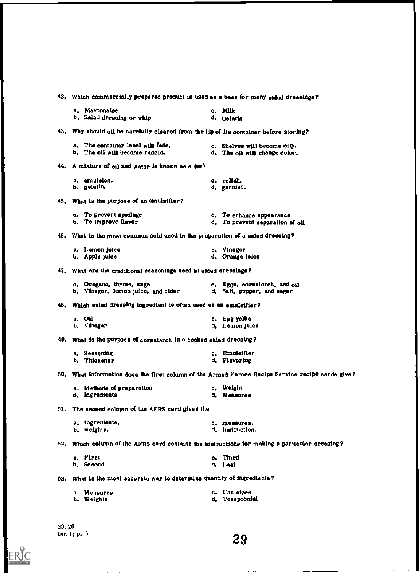|     | 42. Which commercially prepared product is used as a base for many salad dressings?           |              |                                                                                                  |  |  |
|-----|-----------------------------------------------------------------------------------------------|--------------|--------------------------------------------------------------------------------------------------|--|--|
|     | a, Mayonnaise                                                                                 | c. Milk      |                                                                                                  |  |  |
|     | b. Salad dressing or whip                                                                     | d. Gelatin   |                                                                                                  |  |  |
|     | 43. Why should oil be carefully cleared from the lip of lte container before storing?         |              |                                                                                                  |  |  |
|     | a. The container label will fade.                                                             |              | c. Shelves will become oily.                                                                     |  |  |
|     | b. The oil will become rancid.                                                                |              | d. The oil will change color.                                                                    |  |  |
|     | 44. A mixture of oil and water ie known ae a (an)                                             |              |                                                                                                  |  |  |
|     | a. emuieion.                                                                                  | c. relish.   |                                                                                                  |  |  |
|     | b. gelatin.                                                                                   | d. garnish.  |                                                                                                  |  |  |
|     | 45. What is the purpose of an emulsifier?                                                     |              |                                                                                                  |  |  |
|     | a. To prevent spoilage                                                                        |              | c. To enhance appearance                                                                         |  |  |
|     | b. To improve flavor                                                                          |              | d. To prevent eeparation of oil                                                                  |  |  |
|     | 46. What is the moet common acid used in the preparation of a salad dreesing?                 |              |                                                                                                  |  |  |
|     | a. Lemon juice                                                                                | c. Vinegar   |                                                                                                  |  |  |
|     | b. Apple juice                                                                                |              | d. Orange juice                                                                                  |  |  |
|     | 47. What are the traditional seasonings used in salad dressings?                              |              |                                                                                                  |  |  |
|     | a, Oregano, thyme, sage                                                                       |              | c. Eggs, cornetarch, and oil                                                                     |  |  |
|     | b. Vinegar, lemon juice, and cider                                                            |              | d. Salt, pepper, and sugar                                                                       |  |  |
| 48. | Which ealad dreesing ingredient is often used as an emulaifier?                               |              |                                                                                                  |  |  |
|     | a. Oil                                                                                        | c. Egg yolke |                                                                                                  |  |  |
|     | b. Vinegar                                                                                    |              | d. Lemon juice                                                                                   |  |  |
|     | 49. What is the purpose of cornstarch in a cooked ealad dressing?                             |              |                                                                                                  |  |  |
|     | a. Seasoning                                                                                  |              | c. Emuleifier                                                                                    |  |  |
|     | b. Thickener                                                                                  | d. Flavoring |                                                                                                  |  |  |
|     |                                                                                               |              | 50. What information does the first column of the Armed Forces Recipe Service recipe carde give? |  |  |
|     | a. Methode of preparation                                                                     | c. Weight    |                                                                                                  |  |  |
|     | b. Ingredients                                                                                | d. Measures  |                                                                                                  |  |  |
|     | 51. The eecond column of the AFRS card gives the                                              |              |                                                                                                  |  |  |
|     | a. ingrediente.                                                                               |              | c. measures.                                                                                     |  |  |
|     | b. weights.                                                                                   |              | d. instruction.                                                                                  |  |  |
|     | 52. Which column of the AFRS card containe the instructions for making a particular dreesing? |              |                                                                                                  |  |  |
|     | a. Firet                                                                                      | c. Third     |                                                                                                  |  |  |
|     | b. Second                                                                                     | d. Last      |                                                                                                  |  |  |
|     | 53. What is the most accurate way to determine quantity of ingrediente?                       |              |                                                                                                  |  |  |
|     | a. Measures                                                                                   | c. Can aizes |                                                                                                  |  |  |
|     | b. Weights                                                                                    |              | d. Teaspoonful                                                                                   |  |  |
|     |                                                                                               |              |                                                                                                  |  |  |

33.20 Inn 1; p, 5

ERIC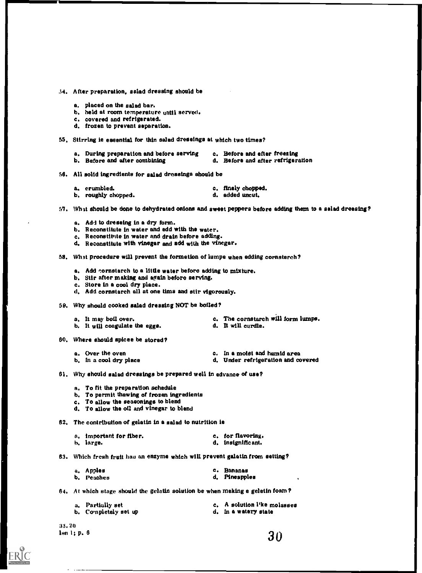#### 34, After preparation, salad dressing should be

- a. placed on the salad bar.
- b. held at room temperature until served.
- c. covered and refrigerated.
- d. frozen to prevent separation.
- 55. Stirring is essential for thin salad dressings at which two times?
	- a. During preparation and before serving c. Before and efter freezing<br>b. Before and after combining d. Before and after refrigers d. Before and after refrigeration
- 58. All solid ingredients for salad dressings should be
	- a. crumbled. etc. finely chopped.<br>
	b. roughly chopped. 
	added uncut.
	- b. roughly chopped.
- 57. Whet should be done to dehydrated onions and sweet peppers before adding them to a salad dressing?
	- a. Add to dressing in a dry form.
	- b. Reconstitute in water and edd with the water.
	- c. Reconstitute in water and drain before adding.
	- d. Reconstitute with vinegar and add with the vinegar.

58. Whet procedure will prevent the formetion of lumpe when edding cornstarch?

- a. Add cornstarch to a little water before adding to mixture.
- b. Stir after making and again before serving.
- c. Store in a cool dry place.
- d. Add cornstarch all at one tims and stir vigorously.
- 58. Why should cooked salad dressing NOT be boiled?

| a. It may boil over.           | c. The cornstarch $\#$ ll form lumps. |
|--------------------------------|---------------------------------------|
| b. It will coagulate the eggs. | d. It will curdle.                    |

- 80. Where should spices be stored?
- 
- a. Over the oven c. In a moist and humid area<br>b. In a cool dry place c. C. In a moist and humid area d. Under refrigeration and covered
- 61. Why should salad dressings be prepared well in edvance of use?
	- a. To fit the preparation schedule
	- b. To permit thawing of frozen ingredients
	- c. To allow the seasonings to blend
	- d. To allow the oil and vinegar to blend

82. The contribution of gelatin in a salad to nutrition is

| a. important for fiber. | c. for flavoring. |
|-------------------------|-------------------|
| b. large.               | d. insignificant. |

83. Which fresh fruit has an enzyme which will prevent gelatin from setting?

| a. Apples  | c. Bananas    |
|------------|---------------|
| b. Peaches | d. Pineapples |

64. At which stage should the gelatin solution be when making e gelatin foam ?

| a. Partially set     | c. A solution l'ke molasses |
|----------------------|-----------------------------|
| b. Completely set up | d. In a watery state        |

33. 20 ion 1; p. 6  $30$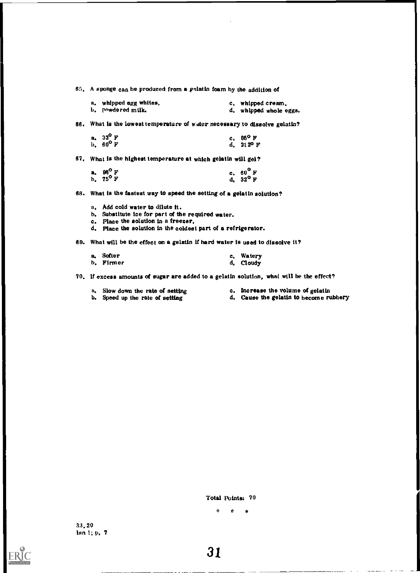65, A sponge can be produced from a gelatin foam by the addition of

| a. whipped egg whites, | c. whipped cream.      |
|------------------------|------------------------|
| b. – powdered milk.    | d. whipped whole eggs. |

66. What is the lowest temperature of water necessary to dissolve gelatin?

| a. $32^{\circ}$ F | c. $95^{\circ}$ F  |
|-------------------|--------------------|
| b. $60^{\circ}$ F | d. $212^{\circ}$ F |

67. What is the highest temperature at which gelatin will gel?

| a. 98 <sup>0</sup> F | c. $60^{\circ}$ F |
|----------------------|-------------------|
| b. $75^{\circ}$ F    | d. $32^{\circ}$ F |

68. What is the fastest way to speed the setting of a gelatin solution?

- a. Add cold water to dilute it.
- b. Substitute ice for part of the required water.
- c. Place the solution in a freezer,
- d. Place the solution in the coldest part of a refrigerator.

69. What will be the effect on a gelatin if hard water is used to dissolve it?

| a, Softer | c. Watery |  |
|-----------|-----------|--|
| b. Firmer | d. Cloudy |  |

70. If excess amounts of sugar are added to a gelatin solution, what will be the effect?

- 
- a. Slow down the rate of setting c. Increase the volume of gelatin b. Speed up the rate of setting d. Cause the gelatin to become run
	- d. Cause the gelatin to become rubbery

Total Points: 70

ERIC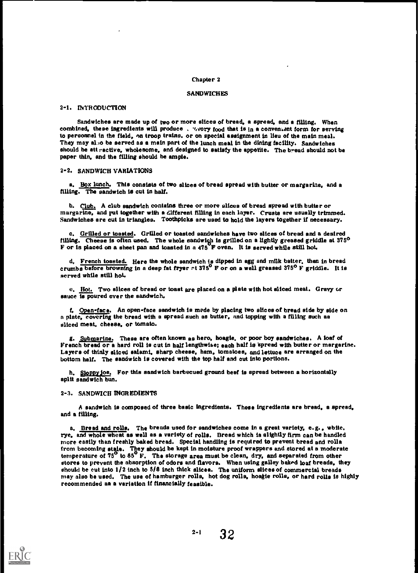#### Chapter 2

#### **SANDWICHES**

#### 2-1. 1NTRODUCTION

Sandwiches are made up of two or more slices of bread, a spread, and a filling. When combined, these ingredients will produce .  $\gamma$  vory food that is in a conventant form for serving to personnel in the field, an troop trains, or on special assignment in lieu of the main meal. They may also be served as a main part of the lunch meal in the dining facility. Sandwiches should be attractive, wholesome, and designed to satisfy the appetite. The bread should not be paper thin, and the filling should be ample.

#### 2-2. SANDWICH VARIATIONS

a. Box lunch. This consists of two slices of bread spread with butter or margarine, and a filling. The sandwich is cut in half.

b. Club. A club sandwich contains three or more slices of bread spread with butter or margarine, and put together with a different filling in each layer. Crusts are usually trimmed. Sandwiches are cut in triangles. Toothpicks are used to hold the layers together if necessary.

c. Grilled or toasted. Grilled or toasted sandwiches have two slices of bread and a desired filling. Cheese is often used. The whole sandwich is grilled on a lightly greased griddle at  $375^{\circ}$ F or is placed on a sheet pan and toasted in a 475 F oven, It is served while still hot.

d, French toasted. Here the whole sandwich is dipped in egg and milk batter, then in bread crumbs before browning in a deep fat fryer  $\mathbb{R}$  375<sup>°</sup> F or on a well greased 375<sup>°</sup> F griddle. It is served while still hot.

e. Hot. Two slices of bread or toast are placed on a plate with hot sliced meat, Gravy cr sauce is poured over the sandwich.

f. Open-face. An open-face sandwich is mede by placing two slices of bread side by side on a plate, covering the bread with a spread such as butter, and topping with a filling such aa sliced meat, cheese, or tomato.

g. Submarine. These are often known as hero, hoagie, or poor boy sandwiches. A loaf of French bread or a hard roll is cut in half lengthwise; each half is spread with butter or margarine. Layers of thinly sliced salami, sharp cheese, ham, tomatoes, and lettuce are arranged on the bottom half. The sandwich is covered with the top half and out into portions.

h. Sloppy joe. For this sandwich barbecued ground beef is spread between a horizontally aplit sandwich bun.

#### 2-3. SANDWICH INGREDIENTS

ERIC

A sandwich is composed of three basic ingredients, These ingredients are bread, a spread, and a filling.

a. Bread and rolls, The breada used for sandwiches come in a great variety, e.g. , wbite, rye, and whole wheat as well as a variety of rolls. Bread which is slightly firm can be handled more easily than freshly baked bread. Special handling is required to prevent bread and rolla from becoming stale. They should be kept in moisture proof wrappers and stored at a moderate temperature of 75<sup>°</sup> to 85<sup>°</sup> F. The storage area must be clean, dry, and separated from other stores to prevent the absorption of odors and flavors. When using galley baked loaf breads, they should be cut into 1/2 inch to 5/8 inch thick slicea. The uniform slices of commercial breads may also be used. The use of hamburger rolls, hot dog rolls, hoagie rolls, or hard rolls is highly recommended aa a variation if financially feasible.

 $2-1$  32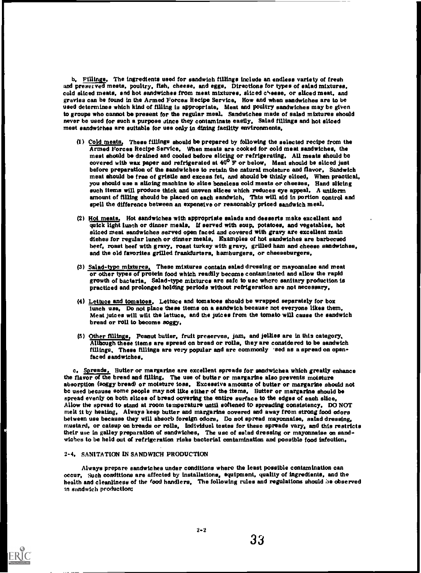b. Fillings, The ingredients used for sandwich fillings include an endless variety of fresh and preserved meats, poultry, fish, cheese, and eggs, Directions for types of salad mixtures, cold sliced meats, and hot sandwiches from meat mixtures, sliced cheese, or sliced meat, and gravies can be found in the Armed Forces Recipe Service. How and when sandwiches are to be used determines which kind of filling is appropriate. Meat and poultry sandwiches may be given to groups who cannot be present for the regular meal. Sandwiches made of salad mixtures should never be used for such a purpose since they contaminate easily. Salad fillings and hot sliced meat sandwiches are suitable for use only in dining facility environments,

- (1) Cold meats, These fillings should be prepared by following the selected recipe from the Armed Forces Recipe Service. When meats are cooked for cold meat sandwiches, the meat should be drained and cooled before slicing or refrigerating. All meats should be covered with wax paper and refrigerated at  $40^{\circ}$   $\bar{F}$  or below. Meat should be sliced just before preparation of the sandwiches to retain the natural moisture and flavor, Sandwich meat should be free of gristle and excess fet, and should be thinly sliced. When practical, you should use a slicing machine to slice boneless cold meats or cheeses, Hand slicing such items will produce thick and uneven slices which reduces eye appeal. A uniform amount of filling should be placed on each sandwich. Thts will aid in portion control and spell the difference between an expensive or reasonably priced sandwich meal.
- (2) Hot meats, Hot sandwiches with appropriate salads and desserts make excellent and quick light lunch or dinner meals, U served with soup, potatoes, and vegetables, hot sliced meat sandwiches served open faced and covered with gravy are excellent main dishes for regular lunch or dinner meals. Examples of hot sandwiches are barbecued beef, roast beef with gravy, roast turkey with gravy, grilled ham and cheese sandwiches, and the old favorites grilled frankfurters, hamburgers, or cheeseburgers,
- (3) Salad-type mixtures. These mixtures contain salad dressing or mayonnaise and meat or other types of protein food which readily become contaminated and allow the rapid growth of bacteria, Salad-type mixtures arc safe to use where sanitary production is practiced and prolonged holding periods without refrigeration are not necessary,
- (4) Lettuce and tomatoes. Lettuce and tomatoes should be wrapped separately for box lunch use. Do not place these items on a sandwich because not everyone likes them, Meat juices will wilt the lettuce, and the juices from the tomato will cause the sandwich bread or roll to become soggy,
- (5) Other fillings. Peanut butter, fruit preserves, jam, and jellies are in this category. Although these items are spread on bread or rolls, they are considered to be sandwich fillings. These fillings are very popular and are commonly 'Bed as a spread on openfaced sandwiches,

c, Spreads, Butter or margarine are excellent spreads for sandwichea which greatly enhance the flavor of the bread and filing. The use of butter or margarine also prevents moisture absorption (soggy bread) or moisture toss, Excessive amounts of butter or margarine should not be used because some people may not like either of the items, Butter or margarine should be spread evenly on both slices of bread covering the entire surface to the edges of each slice, Allow the spread to stand at room temperature until softened to spreading consistency, DO NOT melt it by heating, Always keep butter and margarine covered and away from strong food odors between use because they will absorb foreign odors, Do not spread mayonnaise, salad dressing, mustard, or catsup on breads or rolls, Individuel testes for these spreads vary, and this restricts their use in galley preparation of sandwiches. The use of satad dressing or mayonnaise on sandwiches to be held out of refrigeration risks bacterial contamination and possible food infection,

#### 2-4. SANITATION IN SANDWICH PRODUCTION

Always prepare sandwiches under conditions where the least possible contamination can occur. Such conditions are affected by installations, equipment, quality of ingredients. and the health and cleanliness of the food handlers, The following rules and regulations should be observed in sandwich production:

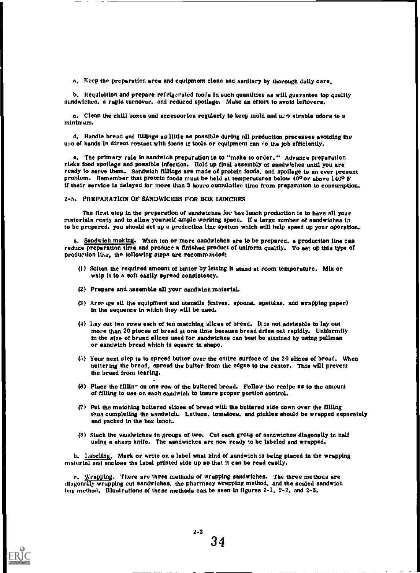a. Keep the preparation area and equipment clean and aanitary by thorough daily care,

b. Requisition and prepare refrigerated fooda in such quantities as will guarantee top quality sandwiches, a rapid turnover, and reduced spoilage. Make an effort to avoid leftovers.

c. Clean the chill boxes and accessoriea regularly to keep mold and und sirable odors to a minimum.

d. Handle bread and fillings as little as possible during all production processes avoiding the use of hands in direct contact with foods if tools or equipment can do the Job efficiently,

e. The primary rule in sandwich preparation is to "make to order," Advance preparation risks food spoilage and possible infection. Hold up final assembly of sandwiches until you are ready to serve them. Sandwich fillings are made of protein foods, and spoilage is an ever present problem. Remember that protein foods muat be held at temperatures below 400 or above 1400 F U their service is delayed for more than 3 hours cumulative time from preparation to consumption.

2-5, PREPARATION OF SANDWICHES FOR BOX LUNCHES

The first step in the preparation of sandwiches for box lunch production is to have all your materiala ready and to allow yourself ample working space. If a large number of sandwichea ia to be prepared, you should set up a production line system which will help speed up your operation.

a. Sandwich making. When ten or more sandwiches are to be prepared, a production line can reduce preparation time and produce a finished product of uniform quality. To set up this type of production lir.s, the following steps are recommended:

- (1) Soften the required amount of butter by letting it stand at room temperature. Mix or whip it to a soft easily spread consistency.
- (2) Prepare and assemble all your sandwich material.
- (3) Arre ige all the equipment and utensils (knives, spoons, spatulaa, and wrapping paper) in the sequence in which they will be used,
- (4) Lay out two rows each of ten matching slices of bread. It is not advisable to lay out more than 20 pieces of bread at one time because bread dries out rapidly. Uniformity in the size of bread slices used for sandwiches can best be attained by using pullman or sandwich bread which is square in shape,
- (5) Your next step is to spread butter over the entire surface of the 20 slices of bread. When buttering the bread, spread the butter from the edges to the center. This will prevent the bread from tearing,
- (6) Place the filling on one row of the buttered bread. Follow the recipe as to the amount of filling to use on each sandwich to insure proper portion control,
- (7) Put the matching buttered slices of bread with the buttered side down over the filling thus completing the sandwich. Lettuce, tomatoes, and pickles should be wrapped separately and packed in the box lunch.
- (8) stack the sandwiches in groups of two. Cut each group of sandwiches diagonally in half using a sharp knife. The aandwiches are now ready to be labeled and wrapped,

h, labeling, Mark or write on a label what kind of sandwich is being placed in the wrapping material and enclose the label printed side up so that it can be read easily,

c. Wrapping. There are three methods of wrapping sandwiches. The three methods are diagonally wrapping cut sandwiches, the pharmacy wrapping method, and the sealed sandwich bag method. Illustrations of these methods can be seen in figures 2-1, 2-2, and 2-3,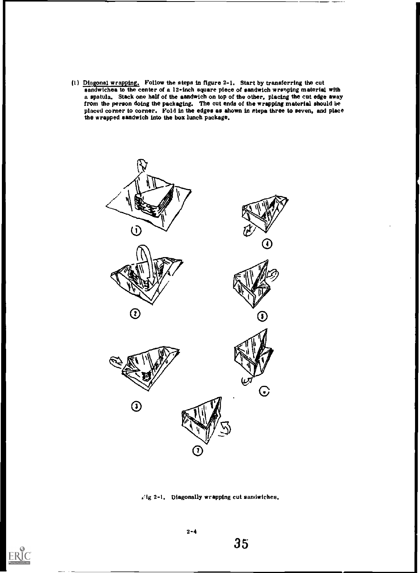(1) Diagonal wrapping. Follow the steps in figure 2-1. Start by transferring the cut sandwiches to the center of a 12-inch square piece of sandwich wrsnping material with a spatula. Stack one half of the sandwich on top of the other, placing the cut edge away from the person doing the packaging. The cut ends of the wrapping material should be placed corner to corner. Fold in the edges as shown in steps three to seven, and place the wrapped sandwich into the box lunch package.



1.1g 2-1, Diagonally wrapping cut sandwiches.



2-4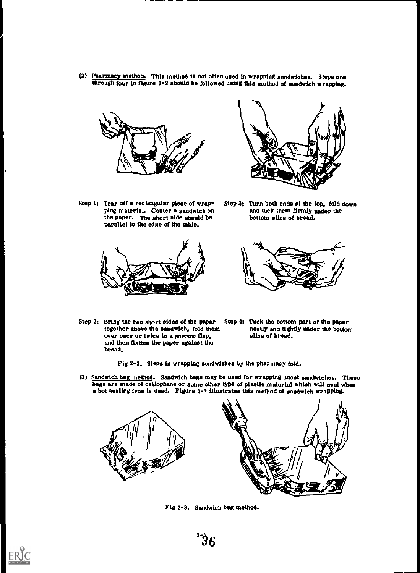(2) Pharmacy method. This method is not often used in wrapping sandwiches. Steps one through four in figure 2-2 should be followed using this method of sandwich wrapping.



 $Step 1:$  Tear off a rectangular piece of wrapping material. Center a sandwich on the paper. The short aide should be parallel to the edge of the table.





Step 3; Turn both ends of the top, fold down and tuck them firmly under the bottom slice of bread.



- Step 2; Bring the two short sides of the paper Step 4; Tuck the bottom part of the paper together above the sandwich, fold them neatly and tightly under the bottom together above the sandwich, fold them neatly and tight over once or twice in a narrow flap, selected bread. over once or twice in a narrow flap, and then flatten the paper against the bread.
	-

Fig 2-2. Steps in wrapping sandwiches by the pharmacy fold.

(3) Sandwich bag method. Sandwich bags may be used for wrapping uncut sandwiches. These bags are made of cellophane or some other type of plastic material which will seal when a hot aealing iron is used. Figure 2-? illustrates this method of sandwich Wrapping.



Fig 2-3. Sandwich bag method.

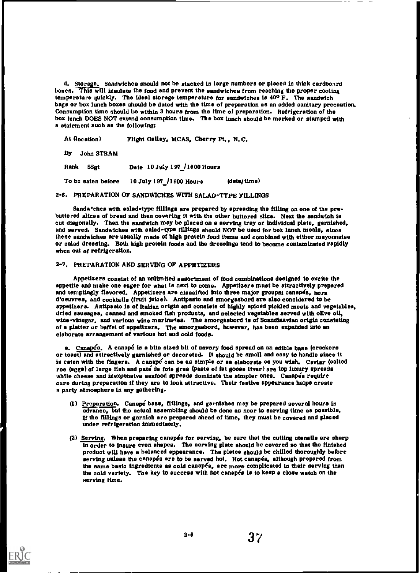d. Storage. Sandwiches should not be stacked in large numbers or placed in thick cardbonrd boxes. This will insulate the food and prevent the sandwiches from reaching the proper cooling temperature quickly. The ideal storage temperature for sandwiches is  $40^{\circ}$  F. The sandwich bags or box lunch boxes should be dated with the time of preparation as an added aanftary precaution. Consumption time should be within 3 hours from the time of preparation. Refrigeration of the box lunch DOES NOT extend consumption time. The box lunch should be marked or stamped with a atatetnent such as the following:

At (location) Flight Galley, MCAS, Cherry Pt., N.C.

By John STRAM

Rank SSgt Date 10 July 197 /1600 Hours

To be eaten before 10 July 197 /1900 Hours (date/ time)

2-6. PREPARATION OF SANDWICHES WITH SALAD-TYPE FILLINGS

Sandw'shes with salad-type fillings are prepared by apreading the filling on one of the prebuttered slices of bread and then covering it with the other buttered slice. Next the sandwich is cut diagonally. Then the sandwich may be placed on a serving tray or individual plate, garnished, and served. Sandwiches with salad-type fillings should NOT be used for box lunch meals, since these sandwiches are usually made of high protein food itema and combined with either mayonnaise or salad dressing. Both high protein foods and the dressings tend to become contaminated rapidly when out of refrigeration.

#### 2-7. PREPARATION AND SERVING OF APPETIZERS

Appetizers consist of an unlimited assortment of food combinations designed to excite the appetite and make one eager for what is next to come. Appetizers must be attractively prepared and temptingly flavored. Appetizers are classified into three major groups; canapes, hors d'oeuvres, and cocktails (fruit juice). Antipasto and smorgasbord are also considered to be appetizers. Antipasto is of Italian origin and consists of highly spiced pickled meats and vegetables, dried sausages, canned and smoked fish products, and selected vegetables served with olive oil, wine-vinegar, and various wine marinates. The smorgasbord is of Scandinavian origin consisting of a platter or buffet of appetizers. The smorgasbord, however, has been expanded into an elaborate arrangement of various hot and cold foods.

a. Canapés. A canapé is a bita sized bit of savory food spread on an edible base (crackers or toast) and attractively garnished or decorated. It should be small and easy to handle since it is eaten with the fingers. A canape can be as simple or as elaborate as you wish. Caviar (salted roe (eggs) of large fish and pate de foie gras (paste of fat goose liver) are top luxury spreads while cheese and inexpensive seafood spreads dominate the simpler ones. Canapéa require care during preparation if they are to look attractive. Their festive appearance helps create a party atmosphere in any gathering.

- (1) Preparation. Canapé base, fillings, and garnishes may be prepared several hours in advance, but the actual assembling should be done as near to sarving time as possible. If the fillings or garnish are prepared ahead of time, they must be covered and placed under refrigeration immediately,
- (2) Serving. When preparing canapéa for serving, be sure that the cutting utensils are sharp in order to insure even shapes. The serving plate should be covered so that the finished product will have a balanced appearance. The plates should be chilled thoroughly before serving unless the canapés are to be served hot. Hot canapés, although prepared from the same basic ingredienta as cold canapéa, are more complicated in their serving than the cold variety. Tha key to success with hot canapes is to keep a close watch on the serving time.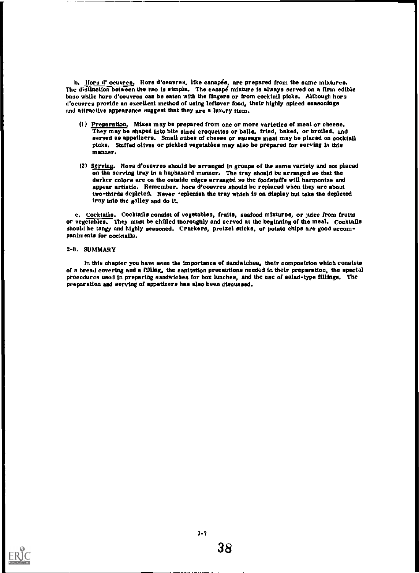b. Hors d' oeuvres. Hors d'oeuvres, like canapés, are prepared from the same mixtures. The distinction between the two is simpla. The canape mixture is always served on a firm edible base while hors d'oeuvres can be eaten with the fingers or from cocktail picks. Although hors d'oeuvres provide an excellent method of using leftover food, their highly spiced seasonings and attractive appearance suggest that they are a luxury item.

- (I) preparation, Mixes may be prepared from one or more varieties of meat or cheese. They may be shaped into bite sized croquettes or balls, fried, baked, or broiled, and served as appetizers. Small cubes of cheese or sausage meat may be placed on cocktail picks. Stuffed olives or pickled vegetables may also be prepared for serving in this manner.
- (2) Serving. Hors d'oeuvres should be arranged in groups of the same variety and not placed on the serving tray in a haphazard manner. The tray should be arranged so that the darker colors are on the outside edges arranged so the foodstuffs will harmonize and appear artistic. Remember. hors d'eouvres should be replaced when they are about two-thirds depleted. Never \*eplenish the tray which is on display but take the depleted tray into the galley and do it.

c. Cocktails. Cocktails consist of vegetables, fruits, seafood mixtures, or juice from fruits or vegetables. They must be chilled thoroughly and served at the beginning of the meal. Cocktails should be tangy and highly seasoned. Crackers, pretzel sticks, or potato chips are good accompaniments for cocktails.

#### 2-8. SUMMARY

In this chapter you have seen the importance of eandwichea, their composition which consists or a bread covering and a filling, the sanitation precautions needed in their preparation, the special procedures used in preparing sandwiches for box lunches, and the use of salad-type fillings. The preparation and serving of appetizers has also been discussed.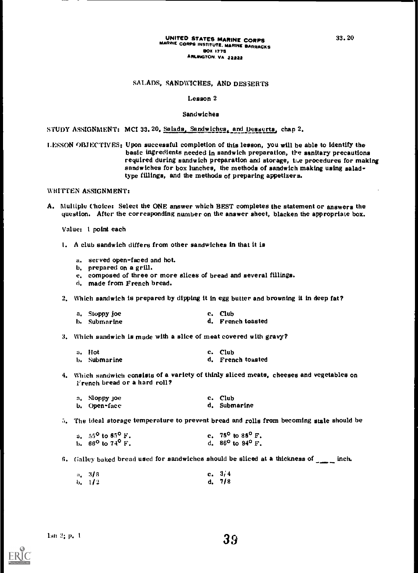#### UNITED STATES MARINE CORPS MARINE CORPS INSTITUTE. MARINE BARRACKS BOX 1775 ARLINGTON. VA 22222

#### SALADS, SANDWICHES, AND DESSERTS

#### Lesson 2

#### Sandwiches

STUDY ASSIGNMENT: MCI 33.20, Salads, Sandwiches, and Desserts, chap 2.

LESSON OBJECTIVES: Upon successful completion of this lesson, you will be able to identify the basic ingredients needed in sandwich preparation, the sanitary precautions required during sandwich preparation and storage, the procedures for making sandwiches for box lunches, the methods of sandwich making using saladtype fillings, and the methods of preparing appetizers.

WRITTEN ASSIGNMENT:

A. Multiple choice: Select the ONE answer which BEST completes the statement or answers the question. After the corresponding number on the answer sheet, blacken the appropriate box.

Value: 1 point each

- 1. A club sandwich differs from other sandwiches in that it is
	- a. served open-faced and hot.
	- b. prepared on a grill.
	- e. composed of three or more slices of bread and several fillings.
	- d. made from French bread.
- 2. Which sandwich is prepared by dipping it in egg butter and browning it in deep fat?
	- a. Sloppy Joe b. Submarine c. Club d. French toasted
- 3. Which sandwich is made with a slice of meat covered with gravy?

| a. Hot       | c. Club           |
|--------------|-------------------|
| b. Submarine | d. French toasted |

4. Which sandwich consists of a variety of thinly sliced meats, cheeses and vegetables on French bread or a hard roll?

| a. Sloppy joe- | c. Club      |
|----------------|--------------|
| b. Open=face   | d. Submarine |

:i. The ideal storage temperature to prevent bread and rolls from becoming stale should be

| a. $\,$ 55 $^{\sf o}$ to 65 $^{\sf o}$ F . $\,$         | c. $75^{\circ}$ to $85^{\circ}$ F.       |
|---------------------------------------------------------|------------------------------------------|
| b. $~66^{\mathsf{o}}$ to $74^{\mathsf{o}}$ $\text{F}$ . | d. 86 <sup>o</sup> to 94 <sup>o</sup> F. |

6. Galley baked bread used for sandwiches should be sliced at a thickness of  $\frac{1}{1-\epsilon}$  inch.

| $a_* - 3/8$ | c. $3/4$ |
|-------------|----------|
| 6.112       | d. $7/8$ |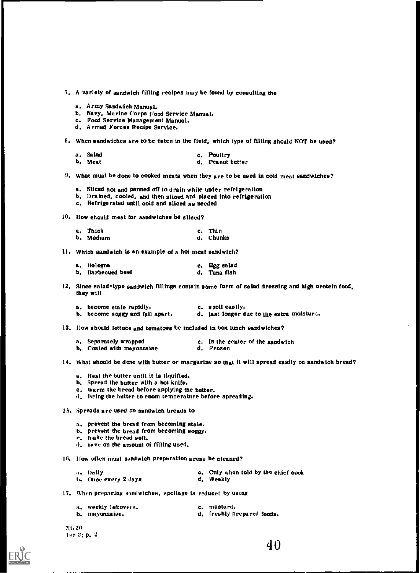7. A variety of sandwich filling recipes may be found by consulting the

- a. Army Sandwich Manual.
- b. Navy, Marine Corps Food Service Manual.
- c. Food Service Management Manual.
- d. Armed Forces Recipe Service.

H. When sandwiches are to be eaten in the field, which type of filling should NOT be used?

a. Salad b. Meat c. Poultry d. Peanut butter

 $9.$  What muat be done to cooked meats when they are to be used in cold meat sandwiches?

- a. Sliced hot and panned off to drain while under refrigeration
- b. brained, cooled, and then sliced and placed into refrigeration
- c. Refrigerated until cold and sliced as needed

IO. How ehould meat for aandwiches be sliced?

| a. Thick  | c. Thin   |
|-----------|-----------|
| b. Medium | d. Chunks |

11. Which sandwich is an example of a hot meat sandwich?

| a. Hologna        | c. Egg salad |
|-------------------|--------------|
| b. Barbecued beef | d. Tuna fish |

12. Since salad type sandwich fillings contain some form of salad dressing and high protein food, they will

| a. become stale rapidly.        | c. spoil easliy.                          |
|---------------------------------|-------------------------------------------|
| b. become soggy and fall apart. | d. last longer due to the extra moisture. |

13. Ilow should lettuce and tomatoes be included in box lunch sandwiches?

| a. Separately wrapped     | c. In the center of the sandwich |
|---------------------------|----------------------------------|
| b. Coated with mayonnaise | d. Frozen                        |

14. What should be done with butter or margarine so that it will spread easily on sandwich bread?

- a. Heat the butter until it is liquified.
- b. Spread the butter with a hot knife.
- c. Warm the bread before applying the butter.
- d. Bring the butter to room temperature before spreading.
- 16. Spreads are used on sandwich breads to
	- a, prevent the bread from becoming stale.
	- b. prevent the bread from becoming soggy.
	- c. make the bread soft.
	- d. save on the amount of filling used.

16. How often must sandwich preparation areas be cleaned?

| a, Daily             | c. Only when told by the chief cook |
|----------------------|-------------------------------------|
| b. Once every 2 days | d. Weekly                           |

17. When preparing sandwiches, spoilage is reduced by using

| a. weekly leftovers. | c. mustard.                |
|----------------------|----------------------------|
| b, mayonnaise.       | d. freshly prepared foods. |

33,20 lmn 2: p. 2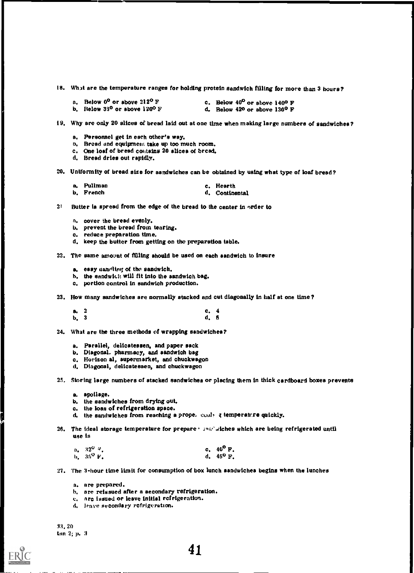18. What are the temperature ranges for holding protein sandwich filling for more than 3 hours?

| a. Below $0^0$ or above $212^0$ F                 | c. Below $40^{\circ}$ or above 140 <sup>o</sup> F |
|---------------------------------------------------|---------------------------------------------------|
| b. Below $33^{\circ}$ or above 120 <sup>0</sup> F | d. Below $420$ or above $130^{\circ}$ F           |

i9. Why are only 20 slices of bread laid out at one time when making large numbers of sandwiches?

- a, Personnel get in each other's way.
- 13. Broad and equipment take up too much room.
- c. One loaf of bread contains 20 slices of bread.
- d. Bread dries out rapidly.

20. Uniformity of bread size for sandwiches can be obtained by using what type of loaf bread?

| a. Pullman | c. Hearth      |
|------------|----------------|
| b. French  | d. Continental |

- $2<sup>i</sup>$  Butter is spread from the edge of the bread to the center in order to
	- n. cover the bread evenly.
	- b. prevent the bread from tearing.
	- c. reduce preparation time,
	- d. keep the butter from getting on the preparation table.

22. The same amount of filling should be used on each sandwich to insure

- a. easy uandling of the sandwich.
- h. the sandwitt: will fit into the sandwich bag.
- c. portion control in sandwich production.
- 23. How many sandwiches are normally stacked and cut diagonally in half at one time?
	- a. 2 b. 3 c. 4 d. 5
- 24. What are the three methods of wrapping sandwiches?
	- a. Parallel, delicatessen, and paper sack
	- b. Diagonal. pharmacy, and sandwich bag
	- c. Horizon al, supermarket, and chuckwagon
	- d. Diagonal, delicatessen, and chuckwagon

25. Storing large numbers of stacked sandwiches or placing them in thick cardboard boxes prevents

- a. spoilage.
- b. the sandwiches from drying out.
- c. the loss of refrigeration apace.
- d. the sandwiches from reaching a prope, cooly z temperature quickly.
- 26. The ideal atorage temperature for prepare ' and'aiches which are being refrigerated until use is

| $a_*$ – 32 $^{O-q}$ . | c. $40^{\circ}$ F. |  |
|-----------------------|--------------------|--|
| b. 36 <sup>0</sup> F. | d. $45^{\circ}$ F. |  |

27. The 3-hour time limit for consumption of box lunch sandwiches begins when the lunches

- a. are prepared.
- h, are reissued after a secondary refrigeration.
- e, are issued or leave initial refrigeration.
- d. leave secondary refrigeration.

33, 20 tsn 2; p. 3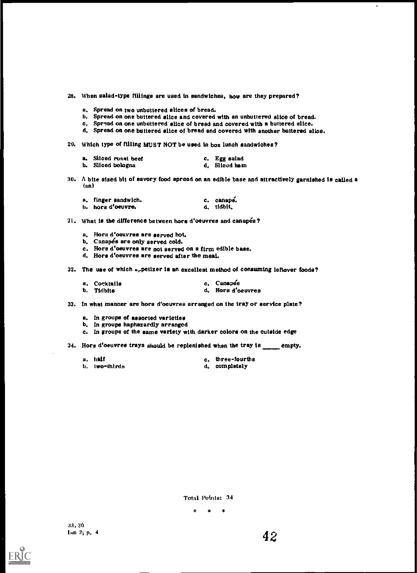28. When salad-type fillings are used in sandwiches, how are they prepared?

- a. Spread on two unbuttered slices of bread.
- b. Spread on one buttered slice and covered with an unbuttered slice of bread.
- c. Spread on one unbuttered slice of bread and covered with a buttered slice.
- d. Spread on one buttered slice of bread and covered with another buttered slice.
- 20. Which type of filling MUST NOT be used in box lunch sandwiches?

| a. Sliced roast beef | c. Egg salad  |
|----------------------|---------------|
| b. Sliced bologna    | d. Sliced ham |

30. A bite sized bit of savory food spread on an edible base and attractively garnished is called a (an)

| a. finger sandwich. | c. canape. |
|---------------------|------------|
| h. hors d'oeuvre.   | d, tidbit, |

31. What is the difference between hors d'oeuvres and canapés?

- a. Hors d'oeuvres are served hot.
- b. Canapés are only served cold.
- c. Hors d'oeuvres are not served on a firm edible base.
- d. Hors d'oeuvres are served after the meal.

32. The use of which aypetizer is an excellent method of consuming leftover foods?

| a. Cocktails | c. Canapés        |
|--------------|-------------------|
| b. Tidbits   | d. Hors d'oeuvres |

33. In what manner are hors d'oeuvres arranged on the tray or service plate?

a. In groups of assorted varieties

- b. In groups haphazardly arranged
- c. In groups of the same variety with darker colors on the outside edge

34. Hors d'oeuvres trays should be replenished when the tray is empty.

| a. haif       | c. three-fourths |
|---------------|------------------|
| b. two-thirds | d. completely    |

Total Points: 34

\* <sup>e</sup> \*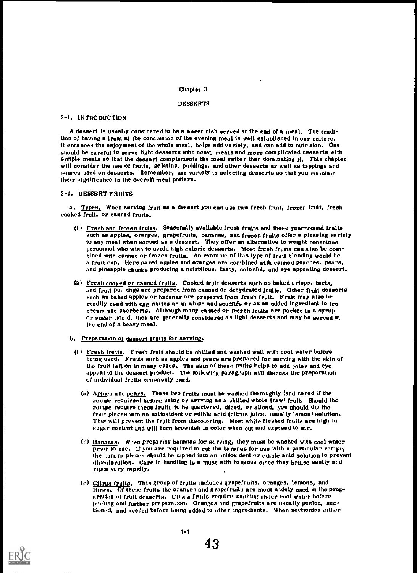#### Chapter 3

#### DESSERTS

#### 3-1, INTRODUCTION

A dessert is usually considered to be a sweet dish served at the end of a meal, The tradition of having a treat at the conclusion of the evening meal is well established in our culture. it enhances the enjoyment of the whole meal, helps add variety, and can add to nutrition. One should be careful to serve light desserts with heav, meals and more complicated desserts with simple meals so that the dessert complements the meal rather than dominating it. This chapter will consider the use of fruits, gelatins, puddings, and other desserts as well as toppings and sauces used on desserts. Remember, use variety in selecting desserts so that you maintain their significance in the overall meal pattern.

#### 3-2. DESSERT FRUITS

a. Types. When serving fruit as a dessert you can use raw fresh fruit, frozen fruit, fresh cooked fruit. or canned fruits.

- (1) Fresh and frozen fruits. Seasonally available fresh fruits and those year-round fruits such as apptes, oranges, grapefruits, bananas, and frozen fruits offer a pleasing variety to any meal when served as a dessert. They offer an alternative to weight conscious personnel who wish to avoid high calorie desserts. Most fresh fruits can also be combined with canned or frozen fruits. An example of this type of fruit blending would be a fruit cup. Here pared apples and oranges are combined with canned peaches. pears, and pineapple chunks producing a nutritious, tasty, colorful, and eye appealing dessert.
- (2) Fresh cooked or canned fruits. Cooked fruit desserts such as baked crisps. tarts, and fruit put lings are prepared from canned or dehydrated fruits. Other fruit desserts such as baked apples or bananas are prepared from fresh fruit. Fruit may also be readily used with egg whites as in whips and souffles or as an added ingredient to ice cream and sherberts. Although many canned or frozen fruits are packed in a syrup or sugar liquid, they are generally considered as light desserts and may be served at the end of a heavy meal.
- b. Preparation of dessert fruits for serving.
	- (1) Fresh fruits. Fresh fruit should be chilled and washed well with cool water before being used. Fruits such as apples and pears are prepared for serving with the skin of the fruit left on in many cases. The skin of these fruits helps to add color and eye appeal to the dessert product. The following paragraph will discuss the preparation of individual fruits commonly used.
		- (a) Apples and pears. These two fruits must be washed thoroughly (and cored if the recipe requires) hefore using or serving as a chilled whole (raw) fruit. Should the recipe require these fruits to be quartered, diced, or sliced, you should dip the fruit pieces into an antioxident or edible acid (citrus juice, usually lemon) solution. This will prevent the fruit from discoloring. Most white fleshed fruits are high in sugar content and will turn brownish in color when cut and exposed to air.
		- (h) Bananas. When preparing bananas for serving, they must be washed with cool water prior to use. If you are required to cut the bananas for use with a particular recipe, the banana pieces should be dipped into an antioxident or edible acid solution to prevent discoloration. Care in handling is a must with bananas since they bruise easily and ripen very rapidly.
		- (t) Citrus fruits. This group of fruits includes grapefruits. oranges, lemons, and  $limes.$  Of these fruits the oranges and grapefruits are most widely used in the prepa ration of fruit desserts. Citrus fruits require washing under eool water before peeling and further preparation. Oranges and grapefruits are usually peeled, sectioned, and seeded before being added to other ingredients. When sectioning either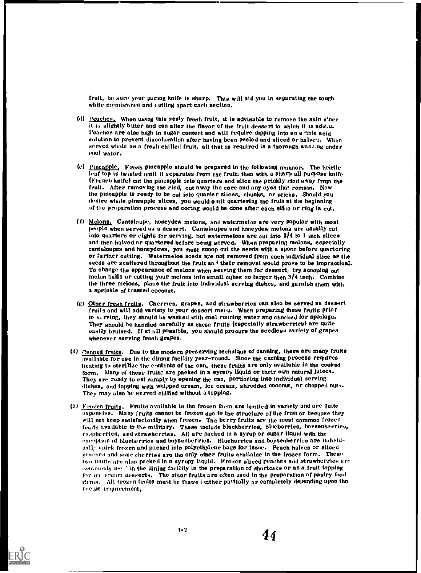fruit. be sure your paring knife is nhurp. This will aid you in separating the tough white membranes and cutting apart each section.

- (d) Peaches. When using this zesty fresh fruit, it is advisable to remove the skin since it is slightly bitter and can alter the flavor of the fruit dessert to which it is addiu. Peaches are also high in sugar content and will require dipping into an elible acid solution to prevent discoloration after having been peeled and sliced or halvei. When served whole as a fresh chilled fruit, all that is required is a thorough was.i.ng under pool water.
- (c) Pineapple, Fresh pineapple should be prepared in the following manner. The hrittle leaf top is twisted until it separates from the fruit; then with a sharp all purpose knife (French knife) cut the pineapple into quarters and slice the prickly And away from the fruit. After removing the rind, cut away the core and any eyes that remain. Now the pineapple is ready to be cut into quarter slices, chunks, or sticks. Should you desire whole pineapple slices, you would omit quartering the fruit at the beginning of the preparation process and coring would be done after each sline or ring is cut.
- (f) Melons. Cantaloupe, honeydew melons, and watermelon are very popular with most people when served as a dessert. Cantaloupes and honeydew melons arc usually cut into quarters or eights for serving, but watermelons are cut into 3/4 to 1 inch slices and then halved or quartered before being served. When preparing melons, especially cantaloupes and honeydews, you must scoop out the seeds with a spoon before quartering or further cutting. Watermelon sceds are not removed from each individual slice as the seeds are scattered throughout the fruit and their removal would prove to be impractical. To change the appearance of melons when serving them for dessert, try scooping out melon balls or cutting your melons into small cubes no larger then 3/4 inch. Combine the three melons, place the fruit into individual serving dishes, and garnish them with a sprinkle of toasted coconut.
- (g) Other fresh fruits. Cherries, grapes, and strawberries can also be served as dessert fruits and will add variety to your dessert menu. When preparing these fruits prior to serving, they should be washed with cool running water and chocked for spoilage. They should be handled carefully as these fruits (especially strawberries) are quite easily bruised. If at ell possible, you should procure the seedless variety of grapes whenever serving fresh grapes.
- (2) Canned fruits. Due to the modern preserving technique of canning, there are many fruits available for use in the dining facility year-round. Since the canning process requires heating to sterilize the contents of the can, these fruits are only available in the cooksd form. Many of these fruits are packed in a syrupy liquid or their own natural juices. They are ready to cat simply by opening the can, portioning into individual serving dishes, and topping with whipped cream, ice cream, shredded coconut, or chopped nuts. They may also be served chilled without a topping.
- (3) Frozen fruits. Fruits available in the frozen form are limited in variety and are quite expensive. Many fruits cannot be frozen due to the structure of the fruit or because they will not keep satisfactorily when frozen. The berry fruits are the most common frozen fruits available to the military. These include blackberries, blueberries, bovsenhecries, casphecrics, and strawherries. All are packed in a syrup or sugar liquid with the exception of blueberries and boysenberries. Blueberries and boysenberries are individually quick frozen and packed into polyethylene bags for issue. Peach halves or sliced peaches and sour cherries are the only other fruits available in the frozen form. These Iwo fruits are also packed in a syrupy liquid. Frozen sliced peaches and strawberries are  $commently$  is  $\cdot$  in the dining facility in the preparation of shortcake or as a fruit topping for ict cream desserts. The other fruits are often used in the preparation of pastry food items. Ail frozen fruits must be thawe I either partially or completely depending upon the recipe requirement,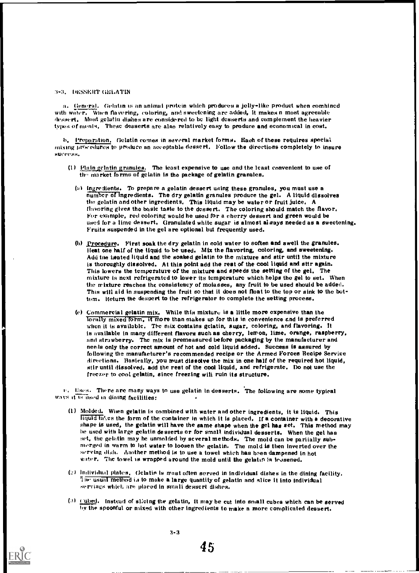#### 3-3. DESSERT GELATIN

a, tieneral. Gelatin is an animal protein which produces a Jelly-like product when comhincd with water. When flavoring, coloring, and sweetening are added, it makes a most agreeable dessert. Most gelatin dishes are considered to be light desserts and complement the heavier types of meets, These desserts are also relatively easy to produce and economical in cost.

b. Preparation, Gelatin comes in several market forms. Each of these requires special mixing procedures to produce an acceptable dessert. Follow the directions completely to insure suceess,

- (1) plain gelatin eranuiea. 'The least expensive to use and the least convenient to use of the market forms of gelatin is the package of gelatin granules.
	- (a) Ingredients. To prepare a gelatin dessert using these granules, you must use a number of ingredients. The dry gelatin granules produce the gel. A liquid dissolves the gelatin and other ingredients, This liquid may be water or fruit juice. A flavoring gives the basic taste to the dessert. The coloring should match the flavor, For example, red coloring would he used for a cherry dessert and green would be used for a lime dessert. Granulated white sugar is almost always needed as a sweetening. Fruits suspended in the gel are optional but frequently used.
	- (b) grocedure. First soak the dry gelatin in cold water to soften and swell the granules. cleat one half of the liquid to be used. Mix the flavoring, coloring, and sweetening. Add the heated liquid and the soaked gelatin to the mixture and stir until the mixture is thoroughly dissolved. At this point add the rest of the cool liquid and sttr again. This lowers the temperature of the mixture and speeds the setting of the gel. The mixture is next refrigerated to lower its temperature which helps the gel to set. When the mixture reaches the consistency of molasses, any fruit to be used should be added. This will aid in suspending the fruit so that it does not float to the top or sink to the bottom. Return the dessert to the refrigerator to complete the setting process.
	- (e) Commercial gelatin mix. While this mixture is a little more expensive than the locally mixed form, it more than makes up for this in convenience and is preferred when it is available. The mix contains gelatin, sugar, coloring, and flavoring. It is available in many different flavors such as cherry, lemon, lime, orange, raspberry, and strawberry. The mix is premeasured before packaging by the manufacturer and needs only the correct amount of hot and cold liquid added. Success is assured by following the manufacturer's recommended recipe or the Armed Forces Recipe Service directions. Basically, you must dissolve the mix in one half of the required hot liquid, stir until dissolved. add the rest of the cool liquid, and refrigerate. Do not use the freezer to cool gelatin, since freezing will ruin its structure.

 $v_s$  Uses. There are many ways to use gelatin in desserts. The following are some typical ways it is used in dining facilities:

- (1) Molded. When gelatin is combined with water and other ingredients, it is liquid. This miT777711..es the form of the container in which it is placed. If a container with a decorative shape is used, the gelatin will have the same shape when the gel has set. This method may he used with large gelatin desserts or for small individual desserts. When the get has set, the gelatin may he unmolded by several methods. The mold can be partially submerged in warm to hot water to loosen the gelatin. The mold is then inverted over the serving dish. Another method is to use a towel which has been dampened in hot water. The towel is wrapped around the mold until the gelatin is leasened.
- (2) Individual plates, Gelatin is mast often served in individual dishes in the dining facility. 1 lie usual method 13 to make a large quantity of gelatin and slice it into individual servings whirl: are placed in small dessert dishes,
- $(3)$  cubed. Instead of slicing the gelatin, it may be cut into small cubes which can be served by the spoonful or mixed with other ingredients to make a more complicated dessert.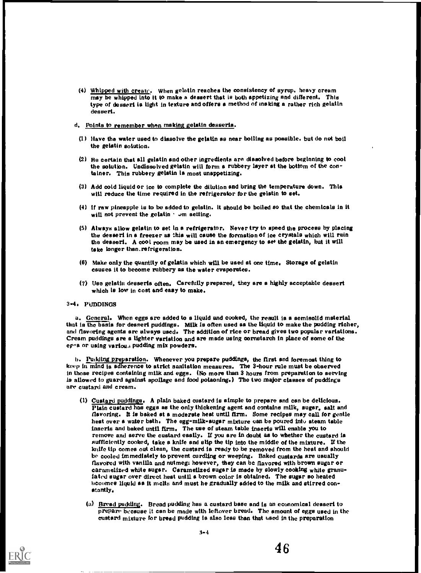(4) Whipped with create. When gelatin reaches the consistency of syrup. heavy cream may be whipped into it to make a dessert that is both appetizing and different. This type of dessert is light in texture and offers a method of making a rather rich gelatin dessert.

#### d. Points to remember when making gelatin desserts.

- (1) Have the water used to dissolve the gelatin as near boiling as possible. but do not boil the gelatin solution.
- (2) Be certain that all gelatin and other ingredients are diasoived before beginning to cool the solution. Undissolved gelatin will form a rubbery layer at the bottom of the container. This rubbery gelatin la most unappetizing.
- (3) Add cold liquid or ice to complete the dilution and bring the temperature down. This will reduce the time required in the refrigerator for the gelatin to set.
- (4) if raw pineapple is to be added to gelatin. it should be boiled so that the chemicals in it will not prevent the gelatin  $\cdot$  or setting.
- (5) Always allow gelatin to set In a refrigerator. Never try to speed the process by placing the dessert in a freezer as this will cause the formation of ice crystals which will ruin the dessert. A cool room may be used in an emergency to set the gelatin, but it will take longer than.refrigeration.
- (6) Make only the quantity of gelatin which will be used at one time. Storage of gelatin causes it to become rubbery as the water evaporates.
- (7) Use gelatin desserts often. Carefully prepared, they are a highly acceptable dessert which is low in cost and easy to make.

#### 3-4. PUDDINGS

a. General. When eggs are added to a liquid and cooked, the result is a semisolid material that is the basis for dessert puddings. Milk is often used as the liquid to make the pudding richer, and flavoring agents are always used. The addition of rice or bread gives two popular variations. Cream puddings are a lighter variation and are made using cornstarch in place of some of the eg $\alpha$ s or using various pudding mix powders.

b. Pudding preparation. Whenever you prepare puddings, the first and foremost thing to keep in mind is adherence to strict sanitation measures. The 3-hour rule must be observed in those recipes containing milk and eggs. (No more than 3 hours from preparation to serving Is allowed to guard against spoilage and food poisoning.) The two major classes of puddings are custard and cream.

- (1) Custard puddings. A plain baked custard is simple to prepare and can be delicious. Plain custard has eggs as the only thickening agent and contains milk, sugar, salt and flavoring. It is baked at a moderate hest until firm. Some recipes may call for gentle hest over a water bath. The egg-milk-sugar mixture can be poured into steam table inserts and baked until firm. The use of steam table inserts will enable you to remove and serve the custard eaally. If you are in doubt as to whether the custard is sufficiently cooked, take a knife and slip the tip into the middle of the mixture. If the knife tip comes out clean, the custard is ready to be removed from the hest and should be cooled immediately to prevent curdling or weeping. Baked custards are usually flavored with vanilla and nutmeg: however, they can be flavored with brown sugar or caramelized white sugar. Caramelized sugar is made by slowly cooking white granulated sugar over direct hest until a brown color is obtained. The sugar so heated becomes liquid as it melts and must he gradually added to the milk and stirred constantly,
	- (a) Bread pudding. Bread pudding has a custard base and is an economical dessert to prepare because it can be made with leftover bread. The amount of eggs used in the custard mixture for bread pudding is also less than that used in the preparation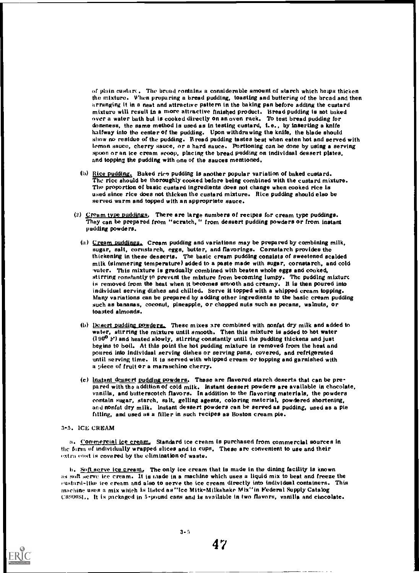of plain custart . The bread contains a considerable amount of starch which helps thicken the mixture. When preparing a bread pudding, toasting and buttering of the bread and then arranging it in a neat and attractive pattern in the baking pan before adding the custard mixture will result in a more attractive finished product. Bread pudding is not baked over a water bath but is cooked directly on an oven rack. To test bread pudding for doneness, the same method is used as in testing custard, i.e., by inserting a knife halfway into the center of the pudding. Upon withdrawing the knife, the blade should show no residue of the pudding. Bread pudding tastes best when eaten hot and served with lemon sauce, cherry sauce, or a hard sauce. Portioning can be done by using a serving spoon or an ice cream scoop, placing the bread pudding on individual dessert plates, and topping the pudding with one of the sauces mentioned.

- (b) Rice pudding, Baked rice pudding is another popular variation of baked custard. The rice should be thoroughly cooked before being combined with the custard mixture. The proportion of basic custard ingredients does not change when cooked rice is used since rice does not thicken the custard mixture. Rice pudding should elso be served warm and topped with an appropriete sauce.
- (2)  $C$ ream type puddings, There are large numbers of recipes for cream type puddings. They can be prepared from "scratch," from dessert pudding powders or from instant pudding powders.
	- (a)  $C$ ream puddings. Cream pudding and variations may be prepared by combining milk, sugar, salt, cornstarch, eggs, butter, and flavorings. Cornstarch provides the thickening in these desserts. The basic cream pudding consists of sweetened scalded milk (simmering temperature) added to a paste made with sugar, cornstarch, and cold .vutcr. This mixture is gradually combined with beaten whole eggs and cooked, stirring constantly to prevent the mixture from becoming lumpy. The pudding mixture is removed from the heat when it becomes smooth and creamy. It is then poured into individual serving dishes and chilled. Serve it topped with a whipped cream topping. Many variations can be prepared by adding other ingredients to the basic cream pudding such as bananas, coconut, pineapple, or chopped nuts such as pecans, walnuts, or toasted almonds.
	- (b) Desert pudding powders. These mixes are combined with nonfat dry milk and added to water, stirring the mixture until smooth. Then this mixture is added to hot water  $(190<sup>o</sup>$  F) and heated slowly, stirring constantly until the pudding thickens and just begins to boll. At this point the hot pudding mixture is removed from the heat and poured into individual serving dishes or serving pans, covered, and refrigerated until serving time, it is served with whipped cream or topping and garnished with a piece of fruit or a maraschino cherry.
	- (c) instant dessert Pudding powders. These are flavored starch deserts that can be prepared with the addition of cold milk. Instant dessert powders are available in chocolate, vanilla, and butterscotch flavors. In addition to the flavoring materials, the powders contain sugar, starch, salt, gelling agents, coloring material, powdered shortening, an d nonfat dry milk. Instant dessert powders can be served as pudding, used as a pie filling, and used as a filler in such recipes as Boston cream pie.

#### 3-5. ICE CREAM

a. Commercial ice cream. Standard ice cream is purchased from commercial sources in the form of individually wrapped slices and in cups. These are convenient to use and their extra cost is covered by the elimination of waste.

b. Soft serve ice cream, The only ice cream that is made in the dining facility is known as soft serve ice cream. It is made in a machine which uses a liquid mix to beat and freeze the eustard-like ice cream and also to serve the ice cream directly into individual containers. This machine uses a mix which is listed as "Ice Mitk-Milkshake Mix" in Federal Supply Catalog C8900SI.. It is packaged in 5-pound cans and is available in two flavors, vanilla and chocolate.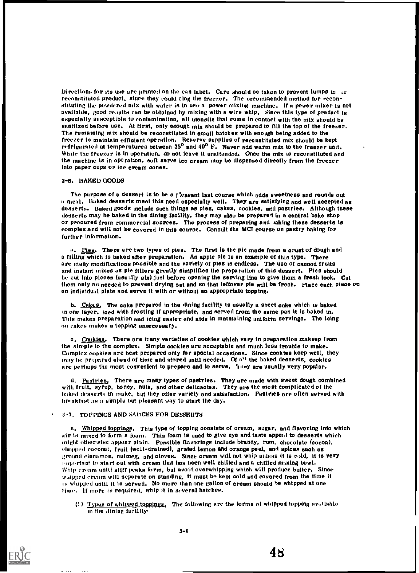Directions for its use are printed on the can label. Care should be taken to prevent lumps in ...e. reconstituted product, since they could clog the freezer. The recommended method for reconstituting the powdered mix with water is tn use a power mixing machine. If a power mixer is not available, good results can be obtained by mixing with a wire whip, Since this type of product is especially susceptible to contarninatinn, all utensils that come in contact with the mix should be sanitized before use. At first, only enough mix should be prepared to fill the top of the freezer. The remaining mix should be reconstituted in small batches with enough being added to the freezer to maintain efficient operation, Reserve supplies of reconstituted mix should be kept refrigerated at temperatures between 35<sup>0</sup> and 40<sup>0</sup> F. Never add warm mix to the freezer unit. While the freezer is in operation, do not leave it unaltended. Once the mix is reconstituted and the machine is in operation, soft serve ice cream may be dispensed directly from the freezer into paper cups or ice cream cones.

#### 3-6. BAKED GOODS

The purpose of a dessert is to be a r teasant last course which adds sweetness and rounds out a meal. Baked desserts meet this need especially well. They are satisfying and well accepted as desserts. Baked goods include such things as pies, cakes, cookies, and pastries. Although these desserts may he baked in the dintng facility, they may also be prepared in a central bake shop or procured from commercial sources. The process of preparing and saking these desserts is complex and will not be covered in this course. Consult the MCI course on pastry baking for further information.

a. Pies. There are two types of pies. The first is the pie made from a crust of dough and a filling which is baked after preparation. An apple pie Is an example of this type. There are many modifications possible and the variety of ptes is endless. The use of canned fruits and instant mixes as pie fillers greatly simplifies the preparation of this dessert. Pies should be cut into pieces (usually six) Just before opening the serving line to give them a fresh look. Cut them only as needed to prevent drying out and so that leftover pie will be fresh. Place each piece on an individual plate and serve it with or wtthout en appropriate topptng.

b. Cakes, The cake prepared in the dining facility is usually a sheet cake which is baked in one layer, iced with frosting if appropriate, and served from the same pan it is baked in. This makes preparation and icing easier and etds in rnatntaining uniform servings. The icing on rakes makes a topping unnecessary.

c. Cookies. There are many varieties of cookies which vary in preparation makeup from the simple to the complex. Simple cookies are acceptable and much less trouble to make. Complex cookies are best prepared only for special occasions. Since cooktes keep well, they may be prepared ahead of time and stored until needed. Of  $a^{ij}$  the baked desserts, cooktes are perhaps the most convenient to prepare and to serve. They are usually very popular.

d. Pastries. There are many types of pastries. They are made with sweet dough combined with fruit. syrup, honey, nuts, and other delicactes. They are the most complicated of the baked desserts tn make, but they offer variety and satisfaction. Pastries are often served with breakfast as a simple but pleasant way to start the day.

#### 3-7. TOPPINGS AND SAUCES FOR DESSERTS

a. Whipped toppings, This type of topping conststs of cream, sugar, and flavortng into which air is mixed to form a foam. This foam is used to give eye and taste appeal to desserts which (night otherwise appear plain. Possible flavortngs include brandy, rum, chocolate (cocoa). ehopped coconut, fruit (well-drained), grated lemon and orange peel, and spices such as ground cinnamon, nutmeg, and cloves. Since cream will not whip unless it is cold, it is very equentant to start out with cream that has been well chilled and a chilled mixing bowl. Whip eream until stiff peaks form, but avoid overwhipping which will produce butter. Since w.iipped cream will separate on standing, tt must be kept cold and covered from the time it is whipped until it is served. No more than one gallon of cream should be whtpped et one time. If more is required. whip it in several hatches.

(1)  $Types$  of whipped toppings, The following are the forms of whipped topping available in the dining facility'



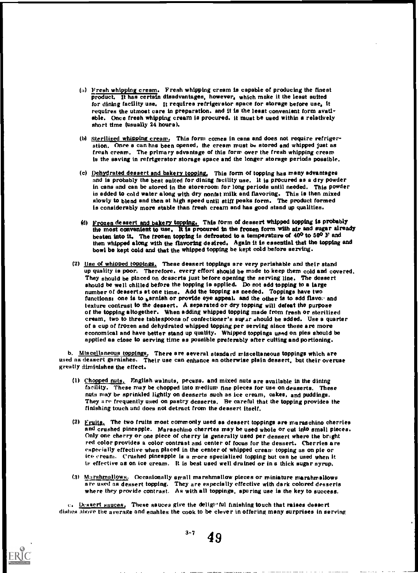- (a) Fresh whipping cream. Fresh whipping cream is capable of producing the finest product. It has certain disadvantages, however, which make it the least suited for dining facility use. It requires refrigerator space for storage before use, it requires the utmost care in preparation. and it is the least convenient form available. Once fresh whipping cream is procured. it must be used within a relatively short time (usually 24 hours).
- (b) Sterilized whipping cream. This form comes in cans and does not require refrigeration. Once a can has been opened, the cream must be stored and whipped just as fresh cream. The primary advantage of this form over the fresh whipping cream is the saving in refrigerator storage space and the longer storage periods possible.
- (c) Dehydrated dessert and bakery topping, This form of topping has many advantages and is probably the best suited for dining facility use. It is procured as a dry powder in cans and can be stored in the storeroom for long periods until needed. This powder is added to cold water along with dry nonfat milk and flavoring. This is then mixed slowly to blend and then at high speed until stiff peaks form. The product formed is considerably more stable than fresh cream and has good stand up qualities.
- (d) Frozen dessert and bakery topping. This form of dessert whipped topping is probably the most convenient to use. It Is procured in the frozen form with air and sugar already beaten into it. The frozen topping is defrosted to a temperature of  $40^{\circ}$  to  $50^{\circ}$  F and then whipped along with the flavoring desired. Again it is essential that the topping and bowl be kept cold and that the whipped topping be kept cold before serving.
- (2) Use of whipped toppings. These deasert toppings are very perishable and their stand up quality is poor. Therefore. every effort should be made to keep them cold and covered. They should be placed on desserts just before opening the serving line. The dessert should be well chilled before the topping is applied. Do not add topping to a large number of desserts at one time. Add the topping as needed. Toppings have two functions: one is to sarnish or provide eye appeal. and the other is to add flavo. and texture contrast to the dessert. A separated or dry topping will defeat the purpose of the topping altogether. When adding whipped topping made from fresh or sterilized cream, two to three tablespoons of confectioner's aupur should be added. Use a quarter of a cup of frozen and dehydrated whipped topping per serving since these are more economical and have better stand up quality. Whipped toppings used on pies should be apptied as close to serving time as possible preferably after cutting and portioning.

b. Miscellaneous toppings. There are aeveral standard miscellaneous toppings which are used as dessert garnishes. Their use can enhance an otherwise plain dessert, but their overuse geatly diminishes the effect.

- (1) Chopped nuts. English walnuts, pecans, and mixed nuts are available in the dining facility. These may be chopped into medium fine pieces for use on desserts. These nuts may be sprinkled lightly on desserts such as ice cream, cakes, and puddings. They a re frequently used on pastry desserts. Be careful that the topping provides the finishing touch and does not detract from the dessert itself.
- (2)  $Fruits.$  The two fruits most commonly used as deasert toppings are maraschino cherries</u> and crushed pineapple. Maraschino cherrtes may be used whole or cut into small pieces. Only one cherry or one piece of cherry is generally used per dessert where the bright red color provides a color contrast and center of focus for the dessert. Cherries are especially effective when placed in the center of whipped creane topping as on pie or ice cream. Crushed pineapple is a more specialized topping but can be used when it is effective as on ice cream. it is best used well drained or in s thick sugar syrup.
- (3) Marshmallows. Occasionally small marshmallow pieces or miniature marshmallows a re used as dessert topping. They are especially effective with dark colored desserts where they provide contrast. As with all toppings, sparing use is the key to success.

 $e_i$ . Dessert sauces, These sauces give the deligloint finishing touch that raises dessert dishes above the average and enahles the cook to be clever in offering many surprises in serving



 $3 - 7$ 49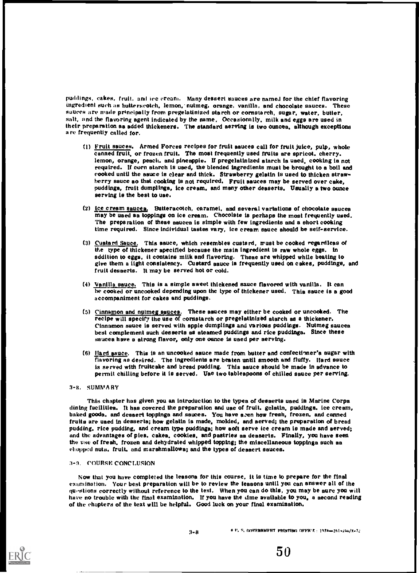puddings, cakes, fruit, and ice cream, Many dessert sauces are named for the chief flavoring ingredient such as butterscotch, lemon, nutmeg, orange, vanilla, and chocolate sauces. These sauces are made principally from pregelatinized starch or cornstarch, sugar, water, butter, salt, and the flavoring agent indicated by the name, Occasionally, milk and eggs are used in their preparation as added thickeners, The standard serving is two ounces, although exceptions a re frequently called for.

- (1) Fruit sauces. Armed Forces recipes for fruit aauces call for fruit juice, pulp, whole canned fruit, or frozen fruit. The moat frequently used fruits are spricot, cherry, lemon, orange, peach, and pineapple. If pregelatinized starch is used, cooking is not required. If corn atarch is uaed, the blended ingredients must be brought to a boil and cooked until the sauce is clear and thick, Strawberry gelatin is used to thicken strawberry sauce ao that cooking is not required. Fruit aauces may be served over cake, puddings, fruit dumplings, ice cream, and many other desserts, Usually a two ounce serving is the best to use,
- (2) Ice cream sauces. Butteracotch, caramel, and several variations of chocolate saucea may be used as toppings on ice cream. Chocolste is perhaps the most frequently used. The preparation of these sauces is simple with few ingredients and a short cooking time required. Since individual tastes vary, ice cream sauce ahould be seif-service.
- (3) Cuatard Sauce. This aauce, which resembles custard, must be cooked regardleas of the type of thickener specified because the mein ingredient is raw whole eggs, in sddition to eggs, it contains milk and flavoring. These are whipped while beating to give them a light consiatency. Custard aauce is frequently used on cakes, puddings, and fruit desserts. It may be served hot or cold.
- (4) Vanilla sauce. This is a simple sweet thickened sauce flavored with vanilla. It can he cooked or uncooked depending upon the type of thickener used. This sauce is a good accompaniment for cakes and puddings.
- (5) Cinnamon and nutmeg sauces. These sauces may either be cooked or uncooked. The recipe will specify the use of cornstarch or pregeiatinized starch as a thickener. Cinnamon sauce is served with spple dumplings and various puddings. Nutmeg sauces best complement such desserts as steamed puddings and rice puddings, Since these saucea have a atrong flavor, only one ounce is uaed per aerving.
- (6) Hard sauce. This is an uncooked sauce made from butter and confectioner's sugar with flavoring as desired. The ingredients are beaten until smooth and fluffy. Hard sauce is served with fruitcake and bread pudding. This sauce should be made in advance to permit chilling before it is served. Uae two tableapoons of chilled sauce per serving.

#### 3-8. SUMMARY

This chapter has given you an introduction to the types of desserts used in Marine Corps dining facilities. It has covered the preparation and use of fruit, gelatin, puddings, ice cream, baked gooda, and desaert toppinga and sauces. You have aren how fresh, frozen, and canned fruits are used in desserts; how gelatin is made, molded, and served; the preparation of bread pudding, rice pudding, and cream type puddings; how soft serve ice cream is made and served; and the advantages of pies, cakes, cookies, and pastries as desserts, Finally, you have seen the use of fresh, frozen and dehydrated whipped topping; the miscellaneous toppings such as chopped nuts, fruit, and marshmallows; and the types of dessert sauces.

#### 3-9. COURSE CONCLUSION

Now that you have completed the lessons for this course, it is time to prepare for the final examination. Your best preparation will be to review the lessons until you can answer all of the qu4.stions correctly without reference to the text. When you can do this, you may be sure you will have no trouble with the final examination. If you have the  $\dim$  available to you, a aecond reading of the chapters of the text will be helpful. Good luck on your final examination,

 $3-0$  c. s, november matting of FICE:  $1978-261-464/X-7$ ;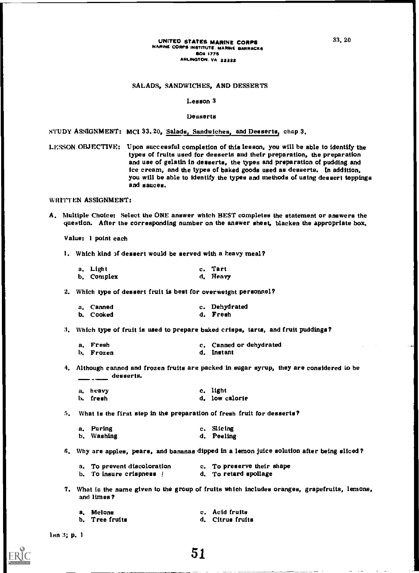#### SALADS, SANDWICHES, AND DESSERTS

#### Lesson 3

#### Desserts

STUDY ASSIGNMENT: MCI 33.20, Salads, Sandwiches, and Desserts, chap 3.

LESSON OBJECTIVE: Upon successful completion of this lesson, you will be able to identify the types of fruits used for desserts and their preparation, the preparation and use of gelatin in desserts, the types and preparation of pudding and ice cream, and the types of baked goods used as desserts. In addition, you will be able to identify the types and methods of using dessert toppings and sauces.

WRITTEN ASSIGNMENT:

A. Multiple Choice: Select the ONE answer which BEST completes the statement or answers the question. After the corresponding number on the answer sheet, blacken the appropriate box.

Value: 1 point each

1. Which kind )f dessert would be served with a heavy meal?

| a. Light   | c. Tart  |
|------------|----------|
| b. Complex | d. Heavy |

2. Which type of dessert fruit is best for overweight personnel?

| a. Canned | c. Dehydrated |
|-----------|---------------|
| b. Cooked | d. Fresh      |

3. Which type of fruit is used to prepare baked crisps, tarts, and fruit puddings?

| a. Fresh  | c. Canned or dehydrated |
|-----------|-------------------------|
| b. Frozen | d. Instant              |

4. Although canned and frozen fruits are packed in sugar syrup, they are considered to be  $\frac{1}{1-\frac{1}{1-\frac{1}{1-\frac{1}{1-\frac{1}{1-\frac{1}{1-\frac{1}{1-\frac{1}{1-\frac{1}{1-\frac{1}{1-\frac{1}{1-\frac{1}{1-\frac{1}{1-\frac{1}{1-\frac{1}{1-\frac{1}{1-\frac{1}{1-\frac{1}{1-\frac{1}{1-\frac{1}{1-\frac{1}{1-\frac{1}{1-\frac{1}{1-\frac{1}{1-\frac{1}{1-\frac{1}{1-\frac{1}{1-\frac{1}{1-\frac{1}{1-\frac{1}{1-\frac{1}{1-\frac{1}{1-\frac{1}{1-\frac{1}{1-\frac{1}{1-\frac{1}{1-\frac{1$ 

| a, heavy | c. light       |
|----------|----------------|
| b. fresh | d. low calorie |

5. What is the first step in the preparation of fresh fruit for desserts?

| a. Paring  | c. Slicing |
|------------|------------|
| b. Washing | d. Peeling |

S. Why are apples, pears, and bananas dipped in a lemon juice solution after being sliced?

- a. To prevent discoloration c. To preserve their shape b. To insure crispness  $\begin{array}{ccc} 1 & 0 & 0 \\ 0 & -1 & 0 \\ 0 & 0 & 0 \end{array}$  d. To retard spoilage
	-
- 
- 7. What is the name given to the group of fruits which includes oranges, grapefruits, lemons, and limes?

| a. Melons        | c. Acid fruits   |
|------------------|------------------|
| b.   Tree fruits | d. Citrus fruits |

lan 3; p. 1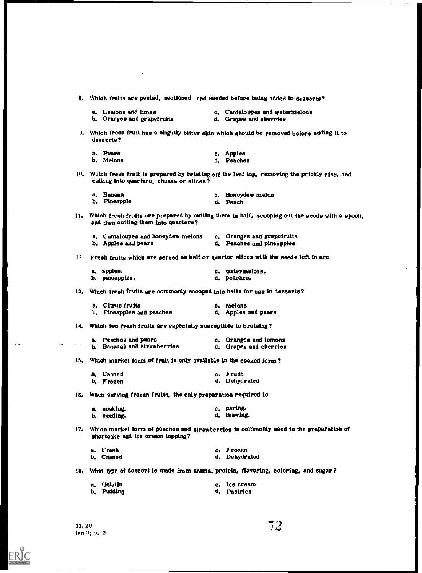8. Which fruits are peeled, sectioned, and seeded before being added to desserts? a. 1.emons and limes c. Cantaloupes and watermelons b. Oranges and grapefruits d. Grapes and cherries 9. Which fresh fruit has a slightly bitter skin which should be removed before adding it to desserts? a. Pears b. Melons c, Apples d. Peaches 10. Which fresh fruit is prepared by twisting off the leaf top, removing the prickly rind. and cutting into quarters, chunka or slices? a. Banana c. Honeydew melon b. Pineapple d. Peach 11. Which fresh fruits are prepared by cutting them in half, scooping out the seeds with a spoon, and then cutting them into quarters? a. Cantaloupes and honeydew melons c. Oranges and grapefruits<br>b. Apples and pears d. Peaches and pineapples d. Peaches and pineapples 12. Fresh fruits which are served as half or quarter slices with the seede left in are a, apples. b. pineapples. c. watermelons. d. peaches. 13. Which fresh fruits are commonly scooped into balls for use in desserts? a. Citrus fruits<br>b. Pineapples and peaches and c. Apples and pears b. Pineapples and peaches 14. Which two fresh fruits are especially susceptible to bruising? a. Peaches and pears c. Oranges and lemons<br>b. Bananas and strawberries c. Grapes and cherries b. Bananas and strawberries 15. Which market form of fruit is only available in the cooked form? a. Canned b. Frozen c. Fresh d. Dehydrated 16. When serving frozen fruits, the only preparation required is a. soaking. b, eeeding. c, paring. d. thawing. 17. Which market form of peachee and strawberries is commonly used in the preparation of shortcake and ice cream topping? a. F resh b. Canned c. Frozen d. Dehydrated 18. What type of dessert is made from animal protein, flavoring, coloring, and sugar? a, r;elatin b. Pudding c. Ice cream d. Pastries

ERIC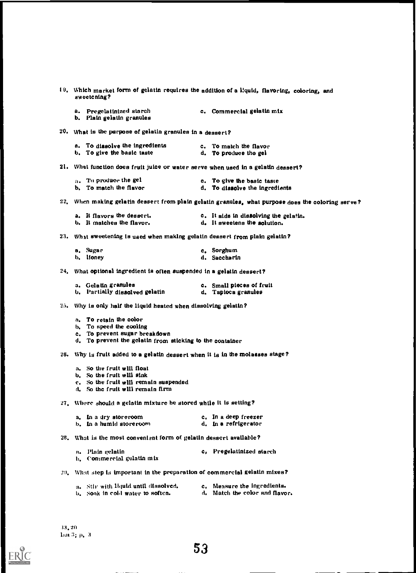| sweetcning?                                                                                                                                    | 19. Which market form of gelatin requires the addition of a liquid, flavoring, coloring, and       |
|------------------------------------------------------------------------------------------------------------------------------------------------|----------------------------------------------------------------------------------------------------|
| a. Pregelatinized starch<br>b. Plain gelatin granules                                                                                          | c. Commercial gelatin mix                                                                          |
| 20. What is the purpose of gelatin granules in a dessert?                                                                                      |                                                                                                    |
| a. To dissolve the ingredients<br>b. To give the basic taste                                                                                   | c. To match the flavor<br>d. To produce the gel                                                    |
| 21. What function does fruit juice or water serve when used in a gelatin dessert?                                                              |                                                                                                    |
| $\mathbf{a}$ . To produce the gel<br>b. To match the flavor                                                                                    | c. To give the basic taste<br>d. To dissolve the ingredients                                       |
|                                                                                                                                                | 22. When making gelatin dessert from plain gelatin granules, what purpose does the coloring serve? |
| a. It flavors the dessert.<br>b. It matches the flavor.                                                                                        | c. It aids in dissolving the gelatin.<br>d. It sweetens the solution.                              |
| 23. What sweetening is used when making gelatin dessert from plain gelatin?                                                                    |                                                                                                    |
| a. Sugar<br>b. Honey                                                                                                                           | c. Sorghum<br>d. Saccharin                                                                         |
| 24. What optional ingredient is often suspended in a gelatin dessert?                                                                          |                                                                                                    |
| a. Gelatin granules<br>b. Partially dissolved gelatin                                                                                          | c. Small pieces of fruit<br>d. Tapioca granules                                                    |
| 25. Why is only half the liquid heated when dissolving gelatin?                                                                                |                                                                                                    |
| a. To retain the color<br>b. To speed the cooling<br>c. To prevent sugar breakdown<br>d. To prevent the gelatin from sticking to the container |                                                                                                    |
| 26. Why is fruit added to a gelatin dessert when it is in the molasses stage?                                                                  |                                                                                                    |
| a. So the fruit will float<br>b. So the fruit will sink<br>c. So the fruit will remain suspended<br>d. So the fruit will remain firm           |                                                                                                    |
| 27. Where should a gelatin mixture be stored while it is setting?                                                                              |                                                                                                    |
| a. In a dry storeroom<br>b. In a humid storeroom                                                                                               | c. In a deep freezer<br>d. In a refrigerator                                                       |
| 28. What is the most convenient form of gelatin dessert available?                                                                             |                                                                                                    |
| - Plain gelatin<br>п.<br><b>b.</b> Commercial gelatin mix                                                                                      | c, Pregelatinized starch                                                                           |
| 29. What step is important in the preparation of commercial gelatin mixes?                                                                     |                                                                                                    |

a. Stir with liquid until dissolved, c. Measure the ingredients. b. Soak in cold water to soften. d. Match the color and flavor.

 $\sum_{\mathcal{F} \text{full heat Provided by EBC}}$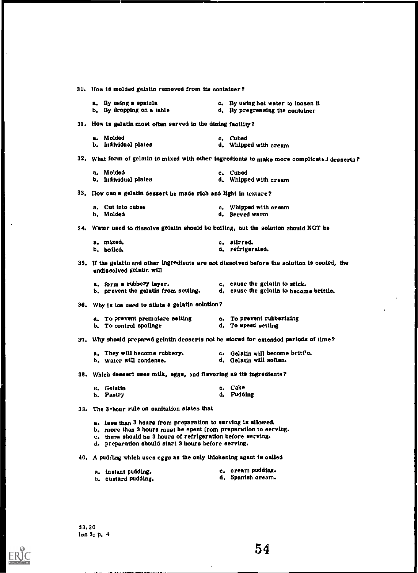30. Now is molded gelatin removed from its container? a. By using a spatula c. By using hot water to loosen it<br>b. By dropping on a table d. By pregreasing the container d. By pregreasing the container 31. How is gelatin most often served in the dining facility? a. Molded c. Cubed<br>b. Individual plates c. Cubed d. Whipper d. Whipped with cream 32. What form of gelatin is mixed with other ingredients to make more complicated desserts? a. Molded c. Cubed<br>b. Individual plates c. Cubed d. Whippe d. Whipped with cream 33. How van a gelatin dessert be made rich and light in texture? a. Cut into cubes c. Whipped with cream<br>b. Molded d. Served warm d. Served warm 34. Water used to dissolve gelatin should be boiling, out the solution should NOT be a. mixed, b. boiled. c. stirred. d. refrigerated. 35. If the gelatin and other ingredients are not dissolved before the solution is cooled, the undissolved gelatic. will a. form a rubbery layer.<br>b. prevent the gelatin from setting. d. cause the gelatin to becom d. cause the gelatin to become brittle. 36. Why is ice used to dilute a gelatin solution? a. To prevent premature setting and c. To prevent rubberizing<br>b. To control spoilage and d. To speed setting b. To control spoilage 31. Why should prepared gelatin desserts not be stored for extended periods of time? a. They will become rubbery. <br>b. Water will condense. <br>d. Gelatin will soften. b. Water will condense. 38. Which dessert uses milk, eggs, and flavoring as its ingredients? a. Gelatin b. Pastry 39. The 3-hour rule on sanitation states that c. Cake d. Pudding a. less than 3 hours from preparation to serving is allowed. b. more than 3 hours must be spent from preparation to serving. c. there should be 3 hours of refrigeration before serving. d. preparation should start 3 hours before serving. 40. A pudding which uses eggs as the only thickening agent is called a. instant pudding.<br>
h. cuatard pudding.<br>
h. cuatard pudding.<br>
h. cuatard pudding.<br>
h. cuatard pudding. b. custard pudding.

54

33. 20 Ian 3; p. 4

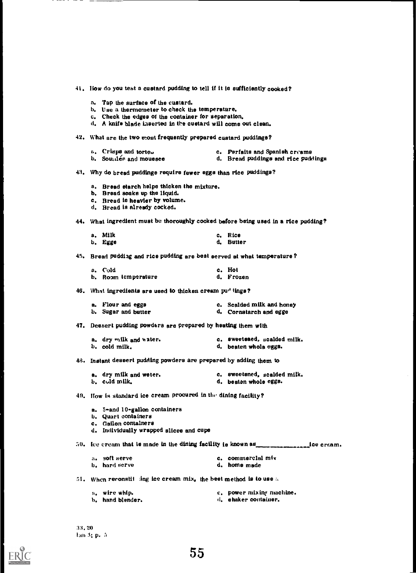- 41, How do you teat a custard pudding to tell if it ie sufficiently cooked?
	- a. Tap the surface of the custard.
	- b, Use a thermometer to check the temperature,
	- c, Check the edges of the container for separation,
	- d, A knife blade inserted in the cuetard will come out clean.
- 42, What are the two most frequently prepared custard puddings?
	- $\epsilon$ . Crisps and torte., c. Parfaits and Spanish creams
	- b. Souther and mousses and rice puddings and rice puddings
- 43. Why do bread puddinge require fewer eggs than rice puddings?
	- a, Bread etarch helpe thicken the mixture.
	- b. Bread soaks up the liquid.
	- c. Bread ie heavier by volume.
	- d, Bread is already cocked.
- 44. What ingredient must be thoroughly cooked before being used in a rice pudding?

| a, Milk | c. Rice   |
|---------|-----------|
| b. Egge | d. Butter |

45, Bread pudding and rice pudding are beat eerved at what temperature ?

| a. Cold             | c. Hot    |
|---------------------|-----------|
| b. Room temperature | d. Frozen |

46. What ingredients are ueed to thicken cream pud lings?

| a. Flour and eggs   | c. Scalded milk and honey |
|---------------------|---------------------------|
| b. Sugar and butter | d. Cornstarch and egge    |

- 47, Deesert pudding powders are prepared by heating them with
	- a. dry milk and water. The c. sweeteaed, scalded milk. b. cold milk,  $d_i$  beaten whole eggs.
- 48. Instant deseert pudding powders are prepared by adding them to
	- a. dry milk and weter.<br>b. cold milk,<br>d. beaten whole eggs.<br>d. beaten whole eggs. d. beaten whole eggs.
- 49, flow is standard ice cream procured in the dining facility?
	- a. 5-and 10-gallon containers
	- h. Quart containers
	- c, Gallon containers
	- d. Individually wrapped slicoe and cope

 $30.$  Ice cream that le made in the dining facility ie known as  $\frac{1}{2}$  ice cream.

| a. soft serve | c. commercial mix |
|---------------|-------------------|
| b. hard serve | d. home made      |

- 51. When reronstit :ing ice cream mix, the beet method is to use a
	- a, wire whip, and c, power mixing machine.<br>
	b, hand blender, the container, the container,
		- d. ehaker container.
- 33,20 1311 3: I). <sup>71</sup>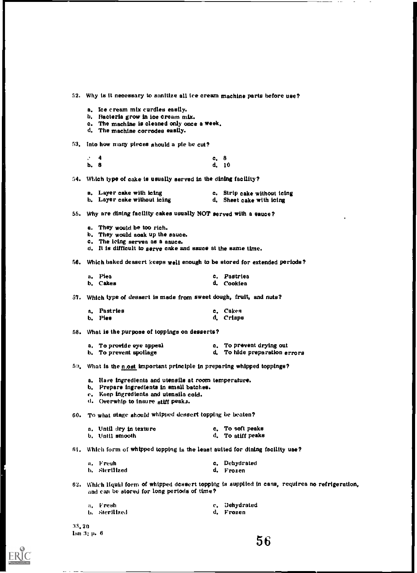52, Why is it necessary to sanitize all ice cream machine parts before use?

- a. Ice cream mix curdles easily.
- b. Bacteria grow in ice cream mix.
- c. The machine is cleaned only once a week,
- d. The machine corrodes easily.
- 53. Into how many pieces should a pie be cut?
	- $\therefore$  4 c, 8 b. 8 d, 10
- 54. Which type of cake is usually served in the dining facility?

| a. Layer cake with icing    | c. Strip cake without icing |
|-----------------------------|-----------------------------|
| b. Layer cake without icing | d. Sheet cake with icing    |

- 55. Why are dining fscility cakes usually NOT served with s sauce?
	- a. They would be too rich.
	- b. They would soak up the sauce.
	- c, The icing serves as a sauce.
	- d. It is difficult to serve cake and sauce at the same time
- 56. Which baked dessert keeps well enough to be stored for extended periods?

| a. Piea  | c. Pastries |
|----------|-------------|
| b. Cakes | d. Cookiea  |

37. Which type of dessert is made from sweet dough, fruit, and nuts?

| a. Pastries | c. Cakes  |
|-------------|-----------|
| b. Pies     | d. Crisps |

58. What is the purpose of toppings on desserts?

| a. To provide eye appeal | c. To prevent drying out      |
|--------------------------|-------------------------------|
| b. To prevent spoilage   | d. To hide preparation errors |

- 
- 50. What is the n.ost important principle in preparing whipped toppings?
	- a. Have ingredients and utensils at room temperature.
	- b. Prepare ingredients in small batches.
	- e. Keep ingredients and utensils cold.
	- d. Overwhip to insure stiff peaks.

60. To what stage should whipped dessert topping be beaten?

| a. Until dry in texture | c. To soft peaks  |
|-------------------------|-------------------|
| b, Until smooth         | d. To atiff peaks |

61. Which form of whipped topping is the least auited for dining facility use?

| a. Fresh      | c. Dehydrated |
|---------------|---------------|
| b. Sterilized | d. Frozen     |

624 Which liquid form of whipped dessert topping is supplied in cans, requires no refrigeration, and can be stored for long periods of time?

| a. Fresh      | c. Dehydrated |
|---------------|---------------|
| b. Sterilized | d. Frozen     |

33, 20  $\text{Im } 3$ ; p. 6

E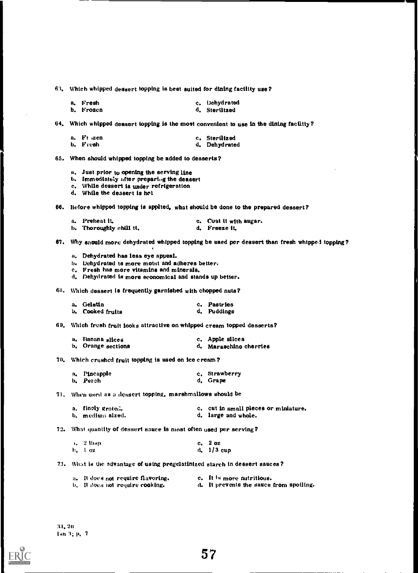63. Which whipped dessert topping Is best suited for dining facility use?

| a. Fresh  | c. Dehydrated |
|-----------|---------------|
| b. Frozen | d. Steriitzed |

64. Which whipped dessert topping is the most convenient to use in the dining facility?

| a. Ft zen | c. Sterilízed |
|-----------|---------------|
| b. Fresh  | d. Dehydrated |

65. When should whipped topping be added to desserts?

- a. Just prior to opening the serving line
- b. Immediately after preparing the deasert
- c. While dessert is under refrigeration
- d. While the dessert is het
- 66. Before whipped topping is applted, what should be done to the prepared dessert?

| a. Preheat it.          | c. Coat it with augar. |
|-------------------------|------------------------|
| b. Thoroughly chill tt. | d. Freeze it.          |

67. Why sn<mark>oul</mark>d more dehydrated whipped topping be uaed per dessert than fresh whtppe i topping?

- a. Dehydrated has less eye appeal.
- b. Dehydrated is more motet and adheres better,
- c. Fresh has more vitamins and minerals.
- d. Dehydrated is more economical and stands up better.

68. Which dessert is frequently garnished with chopped nuts?

| a. Gelatin       | c. Pastries |
|------------------|-------------|
| b. Cooked fruits | d. Puddings |

69. Which fresh fruit looks attractive on whipped cream topped desserts?

| a. Banana siices   | c. Apple slices        |
|--------------------|------------------------|
| b. Orange sections | d. Maraschino cherries |

70. Which crushed fruit topping is used on ice cream?

| a. Pincapple | c. Strawberry |
|--------------|---------------|
| b. Peach     | d. Grape      |

71. When used as a dessert topping, marshmallows should be

| a. finely grate    | c. cut in small pieces or miniature. |
|--------------------|--------------------------------------|
| b. – medium sized. | d. large and whole.                  |

72. What quantity of dessert sauce is most often used per serving?

|                    | $\sqrt{2}$ then | c. 2 oz       |
|--------------------|-----------------|---------------|
| $b_{\star}$ 1 $oz$ |                 | $d_4$ 1/3 cup |

73. What is the advantage of using pregelatinized starch in dessert sauces?

| a. It does not require flavoring. | e. It is more nutritious.               |
|-----------------------------------|-----------------------------------------|
| b. It does not require cooking.   | d. It prevents the sauce from spoiling. |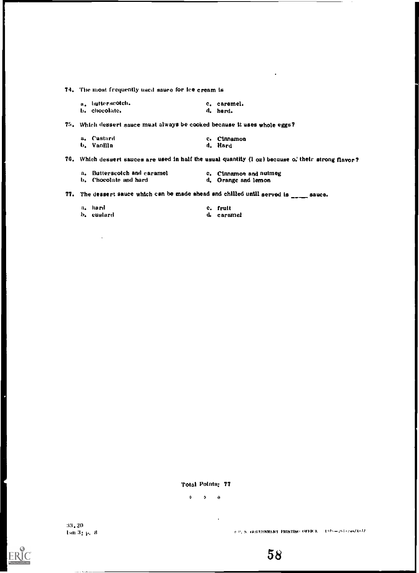74. The most frequently used sauce for ice cream is

| a, hutterscotch. | c. caremel. |
|------------------|-------------|
| b. chocolate.    | d. herd.    |

75. Which dessert sauce must always be cooked because it uses whole eggs?

| a. Custard  | c. Cinnamon |
|-------------|-------------|
| t). Vanilla | d. Hard     |

76. Which dessert sauces are used in half the usual quantity  $(1 \text{ oz})$  because  $\alpha$ , their strong flavor?

| a. Butterscotch and caramel | c. Cinnamon and nutmeg |
|-----------------------------|------------------------|
| b. Chocolate and hard       | d. Orange and lemon    |

77. The dessert sauce which can be made ahead and chilled unill served is  $\frac{1}{\sqrt{1-\frac{1}{n}}}$  sauce.

| a, hard    | c. fruit   |
|------------|------------|
| b, eustard | d. caramel |

Total Points: 77

0 ill 0

:1:1.20  $\text{Im } 3_{1} \, \text{p}, \, 8$ 

ł

ERIC

 $\phi$ 0. S. INIVERNMENT DRINTING OFFICE  $\sim$  1978 $+$ 261+244/X+77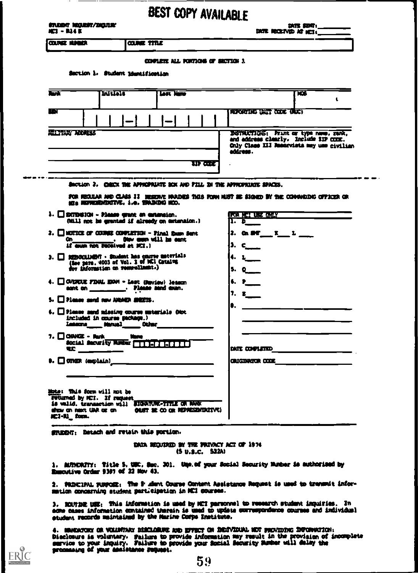|                                                                                                                                                                                                                                                                                                                                                                                                                                                        | <b>BEST COPY AVAILABLE</b>                                                                                                                                    |
|--------------------------------------------------------------------------------------------------------------------------------------------------------------------------------------------------------------------------------------------------------------------------------------------------------------------------------------------------------------------------------------------------------------------------------------------------------|---------------------------------------------------------------------------------------------------------------------------------------------------------------|
| <b>STUDIT REGIST/DIGITIE</b><br>NC2 - R14 K                                                                                                                                                                                                                                                                                                                                                                                                            | $\begin{array}{c}\n\text{Diff} \text{ } 4207_1 \underline{\hspace{1.5cm}} \qquad \qquad } \text{Diff} \text{ } 1007_1 \underline{\hspace{1.5cm}} \end{array}$ |
| COUNCE HUMAN<br><b>COUNTEE TITLE</b>                                                                                                                                                                                                                                                                                                                                                                                                                   |                                                                                                                                                               |
| COPULTE ALL FORTIGE OF BETICH 3                                                                                                                                                                                                                                                                                                                                                                                                                        |                                                                                                                                                               |
| Section 1. Student Identification                                                                                                                                                                                                                                                                                                                                                                                                                      |                                                                                                                                                               |
| Last Jame<br>lы<br>Lutais                                                                                                                                                                                                                                                                                                                                                                                                                              | ЖS                                                                                                                                                            |
|                                                                                                                                                                                                                                                                                                                                                                                                                                                        |                                                                                                                                                               |
| الأخاذ ا                                                                                                                                                                                                                                                                                                                                                                                                                                               | REPORTING WITT CEDE (RUC)                                                                                                                                     |
| <b>RILTARY ARMESS</b>                                                                                                                                                                                                                                                                                                                                                                                                                                  | DISTRUCTIONS: Print or type name, rank,<br>and address clearly. Include 31P CODE.                                                                             |
|                                                                                                                                                                                                                                                                                                                                                                                                                                                        | Only Class III Resorvists may use civilian<br>address.                                                                                                        |
|                                                                                                                                                                                                                                                                                                                                                                                                                                                        | war                                                                                                                                                           |
| Saction 2. CHECK THE APPREPAIATE BOX AND FILL IN THE APPROPALMENT SPACES.                                                                                                                                                                                                                                                                                                                                                                              |                                                                                                                                                               |
|                                                                                                                                                                                                                                                                                                                                                                                                                                                        | for Registar and Clais II subserve navidus thus form hust be signed by the connaiding officer or                                                              |
| MI NEVERSIDATIVE, i.e. SRADIDA NOD.                                                                                                                                                                                                                                                                                                                                                                                                                    |                                                                                                                                                               |
| $\lambda$ . $\Box$ EXTEGION - Please grant an extension.<br>(htill not be granted if already on extension.)                                                                                                                                                                                                                                                                                                                                            | <b>TOR HE'S USE CALLY</b><br>1. $D$                                                                                                                           |
|                                                                                                                                                                                                                                                                                                                                                                                                                                                        |                                                                                                                                                               |
|                                                                                                                                                                                                                                                                                                                                                                                                                                                        | 2. On DF $\frac{1}{2}$ $\frac{1}{2}$ $\frac{1}{2}$                                                                                                            |
| Other music will be mant<br><b>On</b> the state of the state of the state of the state of the state of the state of the state of the state of the state of the state of the state of the state of the state of the state of the state of the state of the state<br>if our not received at MCI.)                                                                                                                                                        | 3. c                                                                                                                                                          |
| (See para, 4003 of Vol. 1 of MCI Catalon                                                                                                                                                                                                                                                                                                                                                                                                               | $\leftarrow$ $\frac{1}{2}$                                                                                                                                    |
| for information on resprollants.)                                                                                                                                                                                                                                                                                                                                                                                                                      | $5. Q_{\text{max}}$                                                                                                                                           |
| sant on _______. Please sand com.                                                                                                                                                                                                                                                                                                                                                                                                                      | $6. P_{\_\_\_\_}$                                                                                                                                             |
|                                                                                                                                                                                                                                                                                                                                                                                                                                                        | $\overline{1}$ . e $\overline{2}$                                                                                                                             |
| included in course package.)                                                                                                                                                                                                                                                                                                                                                                                                                           |                                                                                                                                                               |
| Leseure_______ Narval_______ Other____________                                                                                                                                                                                                                                                                                                                                                                                                         |                                                                                                                                                               |
|                                                                                                                                                                                                                                                                                                                                                                                                                                                        |                                                                                                                                                               |
| $2.$ $\Box$ NOTICE OF COUNSE CONFLETION - Firal game Sent<br>$3.$ $\Box$ REMONLIGHT $\cdot$ Student has course unterlals<br>4. $\Box$ OVERUE FINAL EGN = Last (Review) leasen<br>$5.$ $\Box$ Please send new NGAUN SHEETS.<br>$6.$ $\Box$ Please sand missing course unterials (Not<br>7. $\Box$ CONNE - Ruth $\Box$ North $\Box$ $\Box$ $\Box$ $\Box$ $\Box$ $\Box$ $\Box$<br>$\overline{\mathbf{u}}$ $\overline{\mathbf{u}}$ $\overline{\mathbf{u}}$ | $\frac{1}{2}$<br><b>CRUGERATCH CODE And All CRUGERATCH CODE</b>                                                                                               |
|                                                                                                                                                                                                                                                                                                                                                                                                                                                        |                                                                                                                                                               |
|                                                                                                                                                                                                                                                                                                                                                                                                                                                        |                                                                                                                                                               |
|                                                                                                                                                                                                                                                                                                                                                                                                                                                        |                                                                                                                                                               |
| Mote: This form will not be<br>returned by ICI. If request<br>is valid. transaction will EIGWRRE-TITLE OR NAW<br>show on next UAR or on (0007 SE OD OR REPRESENTATIVE)<br>$HCl-RL$ form.<br>والمستقبلتين والمستقبلة ويرويهم وخيرا بزيرا بالمارات                                                                                                                                                                                                       |                                                                                                                                                               |

1. AUTHORITY: Title 5. URC, Sec. 301. Ump.of your Social Security Marber 1s authorized<br>Emmortive Order 9397 of 22 Mov 43. Ensortive Order 9307 of 22 Nov 43.

mation concerning student participation in NCI courses. 2. FRINCIPAL FURFORE: The 2 alont Course Content Assistance Request is used to transmit infor-

Worricl was an and the magazine of the state of the state of the second of second angularies.<br>Some cases information contained therein is used to update commemoratence courses and individual<br>student records maintained by t NOUTINE USE: This information is used by MCI personnel to research student impuiries. In

piacionure is voluntary. Failure to provide information may result in the provision of<br>marvice to your inquiry. Failure to provide your Social Security Sumber will delay the<br>processing of your assistance request. a. movement on venerous pincenaus has great on movement and successing inverse that incomplete '0 /21000111 lip RIVasTIM 3111P11:414 ere imia so warm= is eizartau sccuaamaa

 $\sum_{\mathcal{A}_{\text{full test Product by ERC}}}$